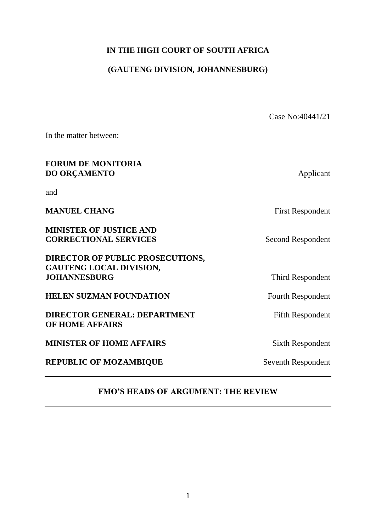## **IN THE HIGH COURT OF SOUTH AFRICA**

# **(GAUTENG DIVISION, JOHANNESBURG)**

|                                                                | Case No:40441/21        |
|----------------------------------------------------------------|-------------------------|
| In the matter between:                                         |                         |
| <b>FORUM DE MONITORIA</b><br><b>DO ORÇAMENTO</b>               | Applicant               |
| and                                                            |                         |
| <b>MANUEL CHANG</b>                                            | <b>First Respondent</b> |
| <b>MINISTER OF JUSTICE AND</b><br><b>CORRECTIONAL SERVICES</b> | Second Respondent       |
| <b>DIRECTOR OF PUBLIC PROSECUTIONS,</b>                        |                         |
| <b>GAUTENG LOCAL DIVISION,</b><br><b>JOHANNESBURG</b>          | Third Respondent        |
| <b>HELEN SUZMAN FOUNDATION</b>                                 | Fourth Respondent       |
| <b>DIRECTOR GENERAL: DEPARTMENT</b><br><b>OF HOME AFFAIRS</b>  | <b>Fifth Respondent</b> |
| <b>MINISTER OF HOME AFFAIRS</b>                                | <b>Sixth Respondent</b> |
| <b>REPUBLIC OF MOZAMBIQUE</b>                                  | Seventh Respondent      |

## **FMO'S HEADS OF ARGUMENT: THE REVIEW**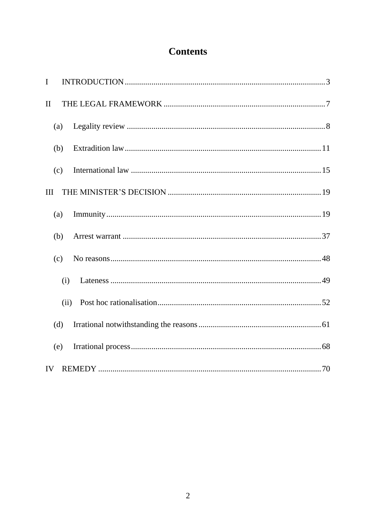# **Contents**

| $\mathbf I$  |      |  |
|--------------|------|--|
| $\mathbf{I}$ |      |  |
|              | (a)  |  |
|              | (b)  |  |
|              | (c)  |  |
| III          |      |  |
|              | (a)  |  |
|              | (b)  |  |
|              | (c)  |  |
|              | (i)  |  |
|              | (ii) |  |
|              | (d)  |  |
|              | (e)  |  |
| IV           |      |  |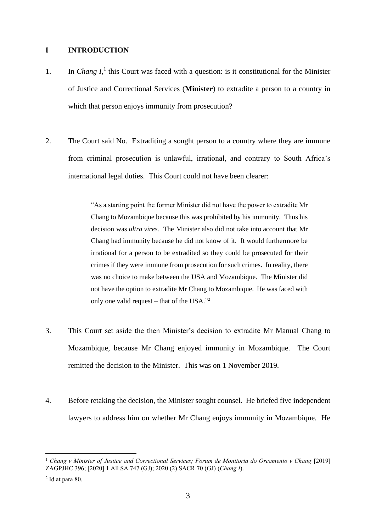#### <span id="page-2-0"></span>**I INTRODUCTION**

- 1. In *Chang I*,<sup>1</sup> this Court was faced with a question: is it constitutional for the Minister of Justice and Correctional Services (**Minister**) to extradite a person to a country in which that person enjoys immunity from prosecution?
- 2. The Court said No. Extraditing a sought person to a country where they are immune from criminal prosecution is unlawful, irrational, and contrary to South Africa's international legal duties. This Court could not have been clearer:

"As a starting point the former Minister did not have the power to extradite Mr Chang to Mozambique because this was prohibited by his immunity. Thus his decision was *ultra vires.* The Minister also did not take into account that Mr Chang had immunity because he did not know of it. It would furthermore be irrational for a person to be extradited so they could be prosecuted for their crimes if they were immune from prosecution for such crimes. In reality, there was no choice to make between the USA and Mozambique. The Minister did not have the option to extradite Mr Chang to Mozambique. He was faced with only one valid request – that of the USA." 2

- 3. This Court set aside the then Minister's decision to extradite Mr Manual Chang to Mozambique, because Mr Chang enjoyed immunity in Mozambique. The Court remitted the decision to the Minister. This was on 1 November 2019.
- 4. Before retaking the decision, the Minister sought counsel. He briefed five independent lawyers to address him on whether Mr Chang enjoys immunity in Mozambique. He

<sup>1</sup> *Chang v Minister of Justice and Correctional Services; Forum de Monitoria do Orcamento v Chang* [2019] ZAGPJHC 396; [2020] 1 All SA 747 (GJ); 2020 (2) SACR 70 (GJ) (*Chang I*).

<sup>2</sup> Id at para 80.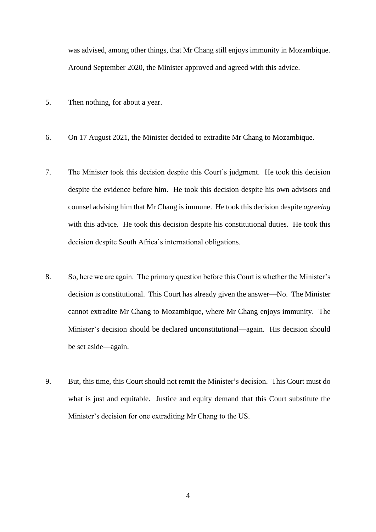was advised, among other things, that Mr Chang still enjoys immunity in Mozambique. Around September 2020, the Minister approved and agreed with this advice.

- 5. Then nothing, for about a year.
- 6. On 17 August 2021, the Minister decided to extradite Mr Chang to Mozambique.
- 7. The Minister took this decision despite this Court's judgment. He took this decision despite the evidence before him. He took this decision despite his own advisors and counsel advising him that Mr Chang is immune. He took this decision despite *agreeing*  with this advice. He took this decision despite his constitutional duties. He took this decision despite South Africa's international obligations.
- 8. So, here we are again. The primary question before this Court is whether the Minister's decision is constitutional. This Court has already given the answer—No. The Minister cannot extradite Mr Chang to Mozambique, where Mr Chang enjoys immunity. The Minister's decision should be declared unconstitutional—again. His decision should be set aside—again.
- 9. But, this time, this Court should not remit the Minister's decision. This Court must do what is just and equitable. Justice and equity demand that this Court substitute the Minister's decision for one extraditing Mr Chang to the US.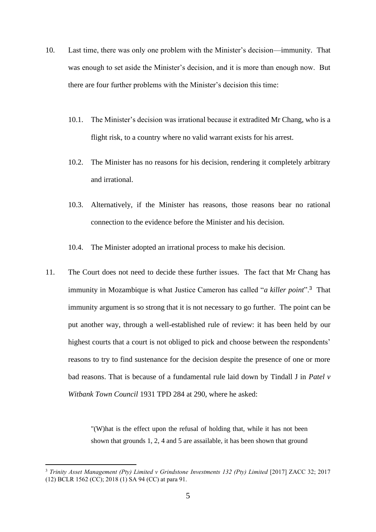- 10. Last time, there was only one problem with the Minister's decision—immunity. That was enough to set aside the Minister's decision, and it is more than enough now. But there are four further problems with the Minister's decision this time:
	- 10.1. The Minister's decision was irrational because it extradited Mr Chang, who is a flight risk, to a country where no valid warrant exists for his arrest.
	- 10.2. The Minister has no reasons for his decision, rendering it completely arbitrary and irrational.
	- 10.3. Alternatively, if the Minister has reasons, those reasons bear no rational connection to the evidence before the Minister and his decision.
	- 10.4. The Minister adopted an irrational process to make his decision.
- 11. The Court does not need to decide these further issues. The fact that Mr Chang has immunity in Mozambique is what Justice Cameron has called "*a killer point*".<sup>3</sup> That immunity argument is so strong that it is not necessary to go further. The point can be put another way, through a well-established rule of review: it has been held by our highest courts that a court is not obliged to pick and choose between the respondents' reasons to try to find sustenance for the decision despite the presence of one or more bad reasons. That is because of a fundamental rule laid down by Tindall J in *Patel v Witbank Town Council* 1931 TPD 284 at 290, where he asked:

"(W)hat is the effect upon the refusal of holding that, while it has not been shown that grounds 1, 2, 4 and 5 are assailable, it has been shown that ground

<sup>3</sup> *Trinity Asset Management (Pty) Limited v Grindstone Investments 132 (Pty) Limited* [2017] ZACC 32; 2017 (12) BCLR 1562 (CC); 2018 (1) SA 94 (CC) at para 91.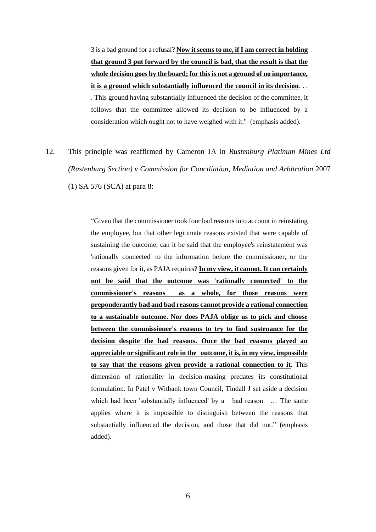3 is a bad ground for a refusal? **Now it seems to me, if I am correct in holding that ground 3 put forward by the council is bad, that the result is that the whole decision goes by the board; for this is not a ground of no importance, it is a ground which substantially influenced the council in its decision**. . . . This ground having substantially influenced the decision of the committee, it follows that the committee allowed its decision to be influenced by a consideration which ought not to have weighed with it." (emphasis added).

12. This principle was reaffirmed by Cameron JA in *Rustenburg Platinum Mines Ltd (Rustenburg Section) v Commission for Conciliation, Mediation and Arbitration* 2007 (1) SA 576 (SCA) at para 8:

> "Given that the commissioner took four bad reasons into account in reinstating the employee, but that other legitimate reasons existed that were capable of sustaining the outcome, can it be said that the employee's reinstatement was 'rationally connected' to the information before the commissioner, or the reasons given for it, as PAJA requires? **In my view, it cannot. It can certainly not be said that the outcome was 'rationally connected' to the commissioner's reasons as a whole, for those reasons were preponderantly bad and bad reasons cannot provide a rational connection to a sustainable outcome. Nor does PAJA oblige us to pick and choose between the commissioner's reasons to try to find sustenance for the decision despite the bad reasons. Once the bad reasons played an appreciable or significant role in the outcome, it is, in my view, impossible to say that the reasons given provide a rational connection to it**. This dimension of rationality in decision-making predates its constitutional formulation. In Patel v Witbank town Council, Tindall J set aside a decision which had been 'substantially influenced' by a bad reason. ... The same applies where it is impossible to distinguish between the reasons that substantially influenced the decision, and those that did not." (emphasis added).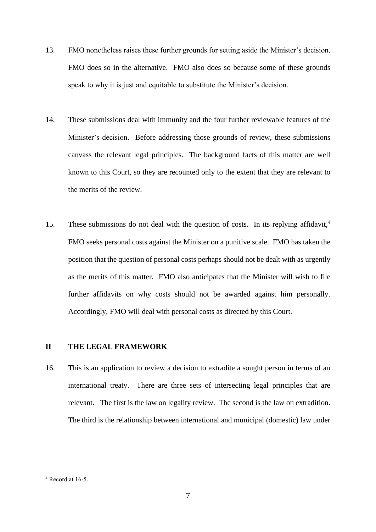- 13. FMO nonetheless raises these further grounds for setting aside the Minister's decision. FMO does so in the alternative. FMO also does so because some of these grounds speak to why it is just and equitable to substitute the Minister's decision.
- 14. These submissions deal with immunity and the four further reviewable features of the Minister's decision. Before addressing those grounds of review, these submissions canvass the relevant legal principles. The background facts of this matter are well known to this Court, so they are recounted only to the extent that they are relevant to the merits of the review.
- 15. These submissions do not deal with the question of costs. In its replying affidavit,<sup>4</sup> FMO seeks personal costs against the Minister on a punitive scale. FMO has taken the position that the question of personal costs perhaps should not be dealt with as urgently as the merits of this matter. FMO also anticipates that the Minister will wish to file further affidavits on why costs should not be awarded against him personally. Accordingly, FMO will deal with personal costs as directed by this Court.

#### <span id="page-6-0"></span>**II THE LEGAL FRAMEWORK**

16. This is an application to review a decision to extradite a sought person in terms of an international treaty. There are three sets of intersecting legal principles that are relevant. The first is the law on legality review. The second is the law on extradition. The third is the relationship between international and municipal (domestic) law under

 $4$  Record at 16-5.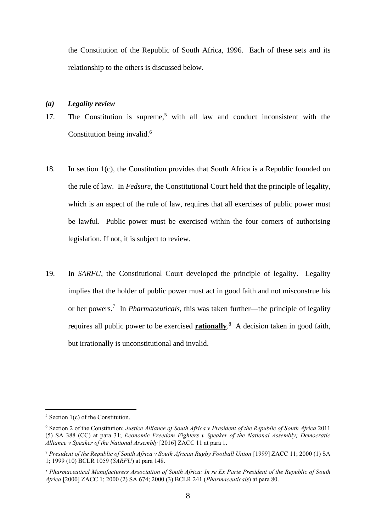the Constitution of the Republic of South Africa, 1996. Each of these sets and its relationship to the others is discussed below.

#### <span id="page-7-0"></span>*(a) Legality review*

- 17. The Constitution is supreme,<sup>5</sup> with all law and conduct inconsistent with the Constitution being invalid.<sup>6</sup>
- 18. In section 1(c), the Constitution provides that South Africa is a Republic founded on the rule of law. In *Fedsure*, the Constitutional Court held that the principle of legality, which is an aspect of the rule of law, requires that all exercises of public power must be lawful. Public power must be exercised within the four corners of authorising legislation. If not, it is subject to review.
- 19. In *SARFU*, the Constitutional Court developed the principle of legality. Legality implies that the holder of public power must act in good faith and not misconstrue his or her powers.<sup>7</sup> In *Pharmaceuticals*, this was taken further—the principle of legality requires all public power to be exercised **rationally**. 8 A decision taken in good faith, but irrationally is unconstitutional and invalid.

 $5$  Section 1(c) of the Constitution.

<sup>6</sup> Section 2 of the Constitution; *Justice Alliance of South Africa v President of the Republic of South Africa* 2011 (5) SA 388 (CC) at para 31; *Economic Freedom Fighters v Speaker of the National Assembly; Democratic Alliance v Speaker of the National Assembly* [2016] ZACC 11 at para 1.

<sup>7</sup> *President of the Republic of South Africa v South African Rugby Football Union* [1999] ZACC 11; 2000 (1) SA 1; 1999 (10) BCLR 1059 (*SARFU*) at para 148.

<sup>8</sup> *Pharmaceutical Manufacturers Association of South Africa: In re Ex Parte President of the Republic of South Africa* [2000] ZACC 1; 2000 (2) SA 674; 2000 (3) BCLR 241 (*Pharmaceuticals*) at para 80.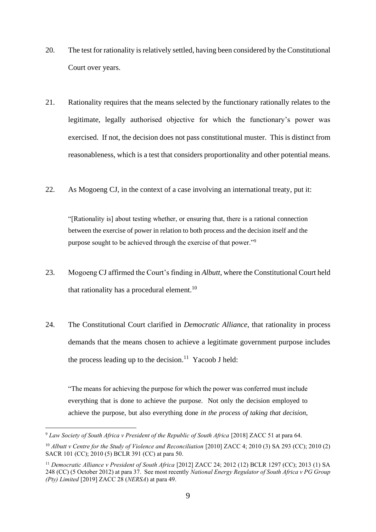- 20. The test for rationality is relatively settled, having been considered by the Constitutional Court over years.
- 21. Rationality requires that the means selected by the functionary rationally relates to the legitimate, legally authorised objective for which the functionary's power was exercised. If not, the decision does not pass constitutional muster. This is distinct from reasonableness, which is a test that considers proportionality and other potential means.
- 22. As Mogoeng CJ, in the context of a case involving an international treaty, put it:

"[Rationality is] about testing whether, or ensuring that, there is a rational connection between the exercise of power in relation to both process and the decision itself and the purpose sought to be achieved through the exercise of that power."<sup>9</sup>

- 23. Mogoeng CJ affirmed the Court's finding in *Albutt,* where the Constitutional Court held that rationality has a procedural element.<sup>10</sup>
- 24. The Constitutional Court clarified in *Democratic Alliance*, that rationality in process demands that the means chosen to achieve a legitimate government purpose includes the process leading up to the decision.<sup>11</sup> Yacoob J held:

"The means for achieving the purpose for which the power was conferred must include everything that is done to achieve the purpose. Not only the decision employed to achieve the purpose, but also everything done *in the process of taking that decision*,

<sup>9</sup> *Law Society of South Africa v President of the Republic of South Africa* [2018] ZACC 51 at para 64.

<sup>&</sup>lt;sup>10</sup> *Albutt v Centre for the Study of Violence and Reconciliation* [2010] ZACC 4; 2010 (3) SA 293 (CC); 2010 (2) SACR 101 (CC); 2010 (5) BCLR 391 (CC) at para 50.

<sup>&</sup>lt;sup>11</sup> Democratic Alliance v President of South Africa [2012] ZACC 24; 2012 (12) BCLR 1297 (CC); 2013 (1) SA 248 (CC) (5 October 2012) at para 37. See most recently *National Energy Regulator of South Africa v PG Group (Pty) Limited* [2019] ZACC 28 (*NERSA*) at para 49.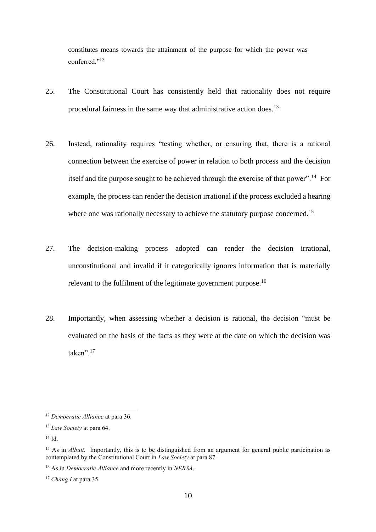constitutes means towards the attainment of the purpose for which the power was conferred."<sup>12</sup>

- 25. The Constitutional Court has consistently held that rationality does not require procedural fairness in the same way that administrative action does.<sup>13</sup>
- 26. Instead, rationality requires "testing whether, or ensuring that, there is a rational connection between the exercise of power in relation to both process and the decision itself and the purpose sought to be achieved through the exercise of that power".<sup>14</sup> For example, the process can render the decision irrational if the process excluded a hearing where one was rationally necessary to achieve the statutory purpose concerned.<sup>15</sup>
- 27. The decision-making process adopted can render the decision irrational, unconstitutional and invalid if it categorically ignores information that is materially relevant to the fulfilment of the legitimate government purpose.<sup>16</sup>
- 28. Importantly, when assessing whether a decision is rational, the decision "must be evaluated on the basis of the facts as they were at the date on which the decision was taken".<sup>17</sup>

<sup>12</sup> *Democratic Alliance* at para 36.

<sup>13</sup> *Law Society* at para 64.

<sup>14</sup> Id.

<sup>&</sup>lt;sup>15</sup> As in *Albutt*. Importantly, this is to be distinguished from an argument for general public participation as contemplated by the Constitutional Court in *Law Society* at para 87.

<sup>16</sup> As in *Democratic Alliance* and more recently in *NERSA*.

<sup>17</sup> *Chang I* at para 35.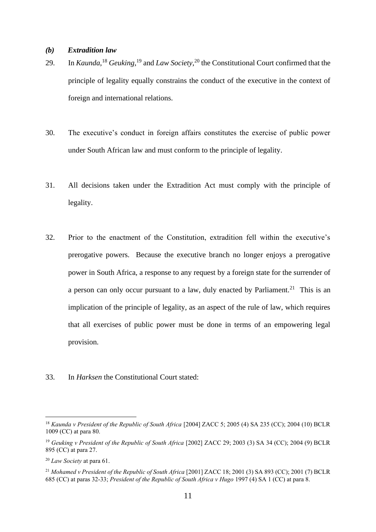#### <span id="page-10-0"></span>*(b) Extradition law*

- 29. In *Kaunda*, <sup>18</sup> *Geuking*, <sup>19</sup> and *Law Society*, <sup>20</sup> the Constitutional Court confirmed that the principle of legality equally constrains the conduct of the executive in the context of foreign and international relations.
- 30. The executive's conduct in foreign affairs constitutes the exercise of public power under South African law and must conform to the principle of legality.
- 31. All decisions taken under the Extradition Act must comply with the principle of legality.
- 32. Prior to the enactment of the Constitution, extradition fell within the executive's prerogative powers. Because the executive branch no longer enjoys a prerogative power in South Africa, a response to any request by a foreign state for the surrender of a person can only occur pursuant to a law, duly enacted by Parliament.<sup>21</sup> This is an implication of the principle of legality, as an aspect of the rule of law, which requires that all exercises of public power must be done in terms of an empowering legal provision.
- 33. In *Harksen* the Constitutional Court stated:

<sup>18</sup> *Kaunda v President of the Republic of South Africa* [2004] ZACC 5; 2005 (4) SA 235 (CC); 2004 (10) BCLR 1009 (CC) at para 80.

<sup>&</sup>lt;sup>19</sup> Geuking v President of the Republic of South Africa [2002] ZACC 29; 2003 (3) SA 34 (CC); 2004 (9) BCLR 895 (CC) at para 27.

<sup>20</sup> *Law Society* at para 61.

<sup>&</sup>lt;sup>21</sup> Mohamed v President of the Republic of South Africa [2001] ZACC 18; 2001 (3) SA 893 (CC); 2001 (7) BCLR 685 (CC) at paras 32-33; *President of the Republic of South Africa v Hugo* 1997 (4) SA 1 (CC) at para 8.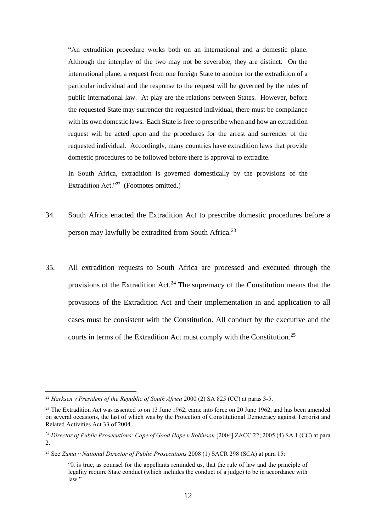"An extradition procedure works both on an international and a domestic plane. Although the interplay of the two may not be severable, they are distinct. On the international plane, a request from one foreign State to another for the extradition of a particular individual and the response to the request will be governed by the rules of public international law. At play are the relations between States. However, before the requested State may surrender the requested individual, there must be compliance with its own domestic laws. Each State is free to prescribe when and how an extradition request will be acted upon and the procedures for the arrest and surrender of the requested individual. Accordingly, many countries have extradition laws that provide domestic procedures to be followed before there is approval to extradite.

In South Africa, extradition is governed domestically by the provisions of the Extradition Act."<sup>22</sup> (Footnotes omitted.)

- 34. South Africa enacted the Extradition Act to prescribe domestic procedures before a person may lawfully be extradited from South Africa.<sup>23</sup>
- 35. All extradition requests to South Africa are processed and executed through the provisions of the Extradition Act.<sup>24</sup> The supremacy of the Constitution means that the provisions of the Extradition Act and their implementation in and application to all cases must be consistent with the Constitution. All conduct by the executive and the courts in terms of the Extradition Act must comply with the Constitution.<sup>25</sup>

<sup>22</sup> *Harksen v President of the Republic of South Africa* 2000 (2) SA 825 (CC) at paras 3-5.

<sup>&</sup>lt;sup>23</sup> The Extradition Act was assented to on 13 June 1962, came into force on 20 June 1962, and has been amended on several occasions, the last of which was by the Protection of Constitutional Democracy against Terrorist and Related Activities Act 33 of 2004.

<sup>24</sup> *Director of Public Prosecutions: Cape of Good Hope v Robinson* [2004] ZACC 22; 2005 (4) SA 1 (CC) at para 2.

<sup>25</sup> See *Zuma v National Director of Public Prosecutions* 2008 (1) SACR 298 (SCA) at para 15:

<sup>&</sup>quot;It is true, as counsel for the appellants reminded us, that the rule of law and the principle of legality require State conduct (which includes the conduct of a judge) to be in accordance with law."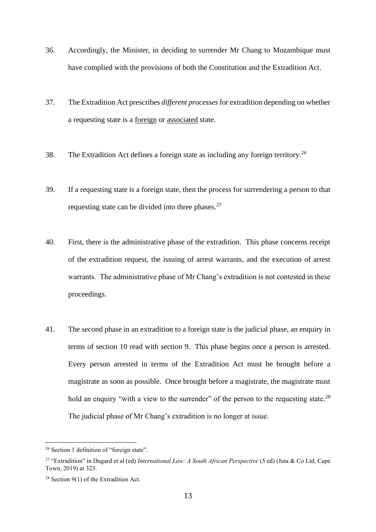- 36. Accordingly, the Minister, in deciding to surrender Mr Chang to Mozambique must have complied with the provisions of both the Constitution and the Extradition Act.
- 37. The Extradition Act prescribes *different processes*for extradition depending on whether a requesting state is a foreign or associated state.
- 38. The Extradition Act defines a foreign state as including any foreign territory.<sup>26</sup>
- 39. If a requesting state is a foreign state, then the process for surrendering a person to that requesting state can be divided into three phases. $27$
- 40. First, there is the administrative phase of the extradition. This phase concerns receipt of the extradition request, the issuing of arrest warrants, and the execution of arrest warrants. The administrative phase of Mr Chang's extradition is not contested in these proceedings.
- 41. The second phase in an extradition to a foreign state is the judicial phase, an enquiry in terms of section 10 read with section 9. This phase begins once a person is arrested. Every person arrested in terms of the Extradition Act must be brought before a magistrate as soon as possible. Once brought before a magistrate, the magistrate must hold an enquiry "with a view to the surrender" of the person to the requesting state.<sup>28</sup> The judicial phase of Mr Chang's extradition is no longer at issue.

<sup>&</sup>lt;sup>26</sup> Section 1 definition of "foreign state".

<sup>27</sup> "Extradition" in Dugard et al (ed) *International Law: A South African Perspective* (5 ed) (Juta & Co Ltd, Cape Town, 2019) at 323.

<sup>28</sup> Section 9(1) of the Extradition Act.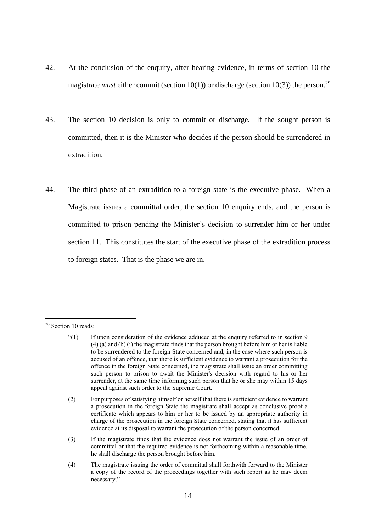- 42. At the conclusion of the enquiry, after hearing evidence, in terms of section 10 the magistrate *must* either commit (section 10(1)) or discharge (section 10(3)) the person.<sup>29</sup>
- 43. The section 10 decision is only to commit or discharge. If the sought person is committed, then it is the Minister who decides if the person should be surrendered in extradition.
- 44. The third phase of an extradition to a foreign state is the executive phase. When a Magistrate issues a committal order, the section 10 enquiry ends, and the person is committed to prison pending the Minister's decision to surrender him or her under section 11. This constitutes the start of the executive phase of the extradition process to foreign states. That is the phase we are in.

- (3) If the magistrate finds that the evidence does not warrant the issue of an order of committal or that the required evidence is not forthcoming within a reasonable time, he shall discharge the person brought before him.
- (4) The magistrate issuing the order of committal shall forthwith forward to the Minister a copy of the record of the proceedings together with such report as he may deem necessary."

<sup>&</sup>lt;sup>29</sup> Section 10 reads:

<sup>&</sup>quot;(1) If upon consideration of the evidence adduced at the enquiry referred to in section 9 (4) (a) and (b) (i) the magistrate finds that the person brought before him or her is liable to be surrendered to the foreign State concerned and, in the case where such person is accused of an offence, that there is sufficient evidence to warrant a prosecution for the offence in the foreign State concerned, the magistrate shall issue an order committing such person to prison to await the Minister's decision with regard to his or her surrender, at the same time informing such person that he or she may within 15 days appeal against such order to the Supreme Court.

<sup>(2)</sup> For purposes of satisfying himself or herself that there is sufficient evidence to warrant a prosecution in the foreign State the magistrate shall accept as conclusive proof a certificate which appears to him or her to be issued by an appropriate authority in charge of the prosecution in the foreign State concerned, stating that it has sufficient evidence at its disposal to warrant the prosecution of the person concerned.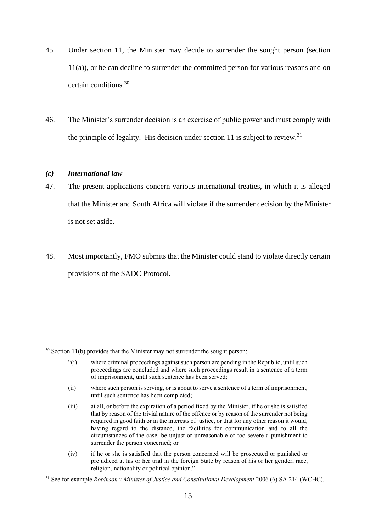- 45. Under section 11, the Minister may decide to surrender the sought person (section 11(a)), or he can decline to surrender the committed person for various reasons and on certain conditions.<sup>30</sup>
- 46. The Minister's surrender decision is an exercise of public power and must comply with the principle of legality. His decision under section 11 is subject to review.<sup>31</sup>

#### <span id="page-14-0"></span>*(c) International law*

- 47. The present applications concern various international treaties, in which it is alleged that the Minister and South Africa will violate if the surrender decision by the Minister is not set aside.
- 48. Most importantly, FMO submits that the Minister could stand to violate directly certain provisions of the SADC Protocol.

 $30$  Section 11(b) provides that the Minister may not surrender the sought person:

<sup>&</sup>quot;(i) where criminal proceedings against such person are pending in the Republic, until such proceedings are concluded and where such proceedings result in a sentence of a term of imprisonment, until such sentence has been served;

<sup>(</sup>ii) where such person is serving, or is about to serve a sentence of a term of imprisonment, until such sentence has been completed;

<sup>(</sup>iii) at all, or before the expiration of a period fixed by the Minister, if he or she is satisfied that by reason of the trivial nature of the offence or by reason of the surrender not being required in good faith or in the interests of justice, or that for any other reason it would, having regard to the distance, the facilities for communication and to all the circumstances of the case, be unjust or unreasonable or too severe a punishment to surrender the person concerned; or

<sup>(</sup>iv) if he or she is satisfied that the person concerned will be prosecuted or punished or prejudiced at his or her trial in the foreign State by reason of his or her gender, race, religion, nationality or political opinion."

<sup>31</sup> See for example *Robinson v Minister of Justice and Constitutional Development* 2006 (6) SA 214 (WCHC).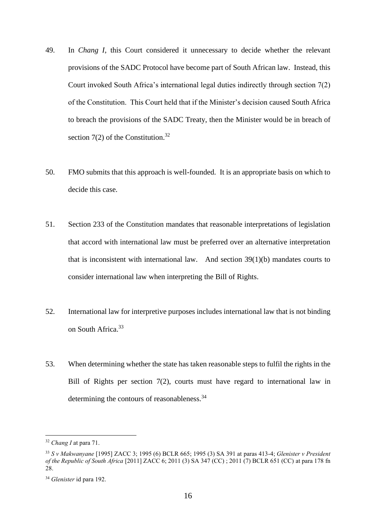- 49. In *Chang I*, this Court considered it unnecessary to decide whether the relevant provisions of the SADC Protocol have become part of South African law. Instead, this Court invoked South Africa's international legal duties indirectly through section 7(2) of the Constitution. This Court held that if the Minister's decision caused South Africa to breach the provisions of the SADC Treaty, then the Minister would be in breach of section  $7(2)$  of the Constitution.<sup>32</sup>
- 50. FMO submits that this approach is well-founded. It is an appropriate basis on which to decide this case.
- 51. Section 233 of the Constitution mandates that reasonable interpretations of legislation that accord with international law must be preferred over an alternative interpretation that is inconsistent with international law. And section 39(1)(b) mandates courts to consider international law when interpreting the Bill of Rights.
- 52. International law for interpretive purposes includes international law that is not binding on South Africa.<sup>33</sup>
- 53. When determining whether the state has taken reasonable steps to fulfil the rights in the Bill of Rights per section 7(2), courts must have regard to international law in determining the contours of reasonableness.<sup>34</sup>

<sup>32</sup> *Chang I* at para 71.

<sup>33</sup> *S v Makwanyane* [1995] ZACC 3; 1995 (6) BCLR 665; 1995 (3) SA 391 at paras 413-4; *Glenister v President of the Republic of South Africa* [2011] ZACC 6; 2011 (3) SA 347 (CC) ; 2011 (7) BCLR 651 (CC) at para 178 fn 28.

<sup>34</sup> *Glenister* id para 192.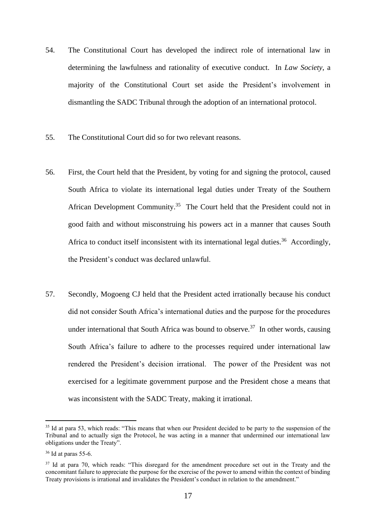- 54. The Constitutional Court has developed the indirect role of international law in determining the lawfulness and rationality of executive conduct. In *Law Society*, a majority of the Constitutional Court set aside the President's involvement in dismantling the SADC Tribunal through the adoption of an international protocol.
- 55. The Constitutional Court did so for two relevant reasons.
- 56. First, the Court held that the President, by voting for and signing the protocol, caused South Africa to violate its international legal duties under Treaty of the Southern African Development Community.<sup>35</sup> The Court held that the President could not in good faith and without misconstruing his powers act in a manner that causes South Africa to conduct itself inconsistent with its international legal duties.<sup>36</sup> Accordingly, the President's conduct was declared unlawful.
- 57. Secondly, Mogoeng CJ held that the President acted irrationally because his conduct did not consider South Africa's international duties and the purpose for the procedures under international that South Africa was bound to observe.<sup>37</sup> In other words, causing South Africa's failure to adhere to the processes required under international law rendered the President's decision irrational. The power of the President was not exercised for a legitimate government purpose and the President chose a means that was inconsistent with the SADC Treaty, making it irrational.

<sup>&</sup>lt;sup>35</sup> Id at para 53, which reads: "This means that when our President decided to be party to the suspension of the Tribunal and to actually sign the Protocol, he was acting in a manner that undermined our international law obligations under the Treaty".

 $36$  Id at paras 55-6.

<sup>&</sup>lt;sup>37</sup> Id at para 70, which reads: "This disregard for the amendment procedure set out in the Treaty and the concomitant failure to appreciate the purpose for the exercise of the power to amend within the context of binding Treaty provisions is irrational and invalidates the President's conduct in relation to the amendment."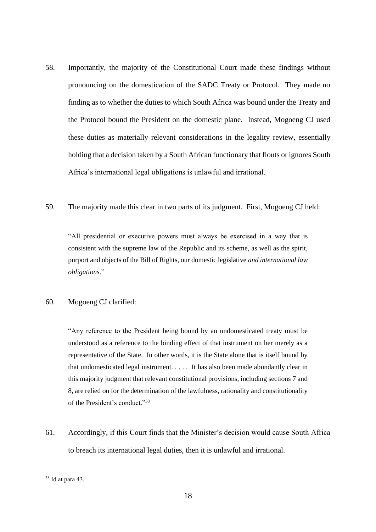- 58. Importantly, the majority of the Constitutional Court made these findings without pronouncing on the domestication of the SADC Treaty or Protocol. They made no finding as to whether the duties to which South Africa was bound under the Treaty and the Protocol bound the President on the domestic plane. Instead, Mogoeng CJ used these duties as materially relevant considerations in the legality review, essentially holding that a decision taken by a South African functionary that flouts or ignores South Africa's international legal obligations is unlawful and irrational.
- 59. The majority made this clear in two parts of its judgment. First, Mogoeng CJ held:

"All presidential or executive powers must always be exercised in a way that is consistent with the supreme law of the Republic and its scheme, as well as the spirit, purport and objects of the Bill of Rights, our domestic legislative *and international law obligations*."

### 60. Mogoeng CJ clarified:

"Any reference to the President being bound by an undomesticated treaty must be understood as a reference to the binding effect of that instrument on her merely as a representative of the State. In other words, it is the State alone that is itself bound by that undomesticated legal instrument. . . . . It has also been made abundantly clear in this majority judgment that relevant constitutional provisions, including sections 7 and 8, are relied on for the determination of the lawfulness, rationality and constitutionality of the President's conduct."<sup>38</sup>

61. Accordingly, if this Court finds that the Minister's decision would cause South Africa to breach its international legal duties, then it is unlawful and irrational.

<sup>38</sup> Id at para 43.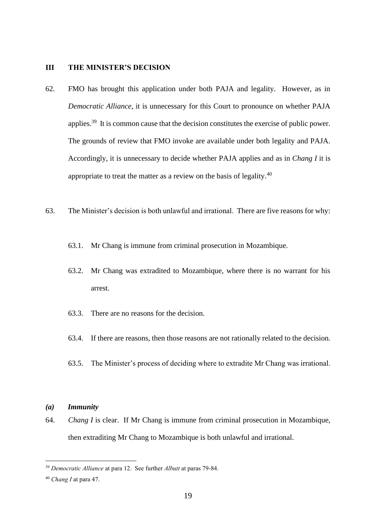#### <span id="page-18-0"></span>**III THE MINISTER'S DECISION**

- 62. FMO has brought this application under both PAJA and legality. However, as in *Democratic Alliance*, it is unnecessary for this Court to pronounce on whether PAJA applies.<sup>39</sup> It is common cause that the decision constitutes the exercise of public power. The grounds of review that FMO invoke are available under both legality and PAJA. Accordingly, it is unnecessary to decide whether PAJA applies and as in *Chang I* it is appropriate to treat the matter as a review on the basis of legality.<sup>40</sup>
- 63. The Minister's decision is both unlawful and irrational. There are five reasons for why:
	- 63.1. Mr Chang is immune from criminal prosecution in Mozambique.
	- 63.2. Mr Chang was extradited to Mozambique, where there is no warrant for his arrest.
	- 63.3. There are no reasons for the decision.
	- 63.4. If there are reasons, then those reasons are not rationally related to the decision.
	- 63.5. The Minister's process of deciding where to extradite Mr Chang was irrational.

### <span id="page-18-1"></span>*(a) Immunity*

64. *Chang I* is clear. If Mr Chang is immune from criminal prosecution in Mozambique, then extraditing Mr Chang to Mozambique is both unlawful and irrational.

<sup>39</sup> *Democratic Alliance* at para 12. See further *Albutt* at paras 79-84.

<sup>40</sup> *Chang I* at para 47.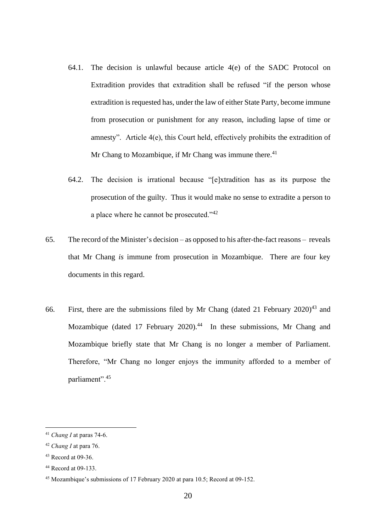- 64.1. The decision is unlawful because article 4(e) of the SADC Protocol on Extradition provides that extradition shall be refused "if the person whose extradition is requested has, under the law of either State Party, become immune from prosecution or punishment for any reason, including lapse of time or amnesty". Article 4(e), this Court held, effectively prohibits the extradition of Mr Chang to Mozambique, if Mr Chang was immune there. $41$
- 64.2. The decision is irrational because "[e]xtradition has as its purpose the prosecution of the guilty. Thus it would make no sense to extradite a person to a place where he cannot be prosecuted."<sup>42</sup>
- 65. The record of the Minister's decision as opposed to his after-the-fact reasons reveals that Mr Chang *is* immune from prosecution in Mozambique. There are four key documents in this regard.
- 66. First, there are the submissions filed by Mr Chang (dated 21 February  $2020)^{43}$  and Mozambique (dated 17 February 2020).<sup>44</sup> In these submissions, Mr Chang and Mozambique briefly state that Mr Chang is no longer a member of Parliament. Therefore, "Mr Chang no longer enjoys the immunity afforded to a member of parliament".<sup>45</sup>

<sup>41</sup> *Chang I* at paras 74-6.

<sup>42</sup> *Chang I* at para 76.

<sup>43</sup> Record at 09-36.

<sup>44</sup> Record at 09-133.

<sup>45</sup> Mozambique's submissions of 17 February 2020 at para 10.5; Record at 09-152.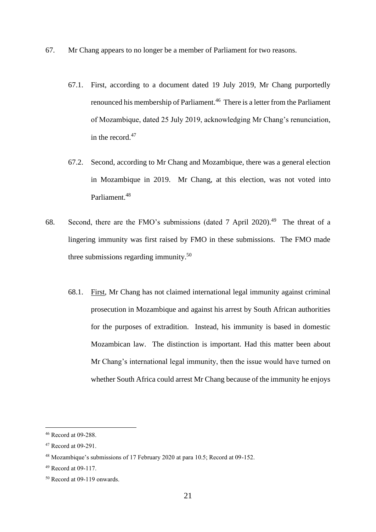- 67. Mr Chang appears to no longer be a member of Parliament for two reasons.
	- 67.1. First, according to a document dated 19 July 2019, Mr Chang purportedly renounced his membership of Parliament.<sup>46</sup> There is a letter from the Parliament of Mozambique, dated 25 July 2019, acknowledging Mr Chang's renunciation, in the record.<sup>47</sup>
	- 67.2. Second, according to Mr Chang and Mozambique, there was a general election in Mozambique in 2019. Mr Chang, at this election, was not voted into Parliament.<sup>48</sup>
- 68. Second, there are the FMO's submissions (dated 7 April 2020).<sup>49</sup> The threat of a lingering immunity was first raised by FMO in these submissions. The FMO made three submissions regarding immunity.<sup>50</sup>
	- 68.1. First, Mr Chang has not claimed international legal immunity against criminal prosecution in Mozambique and against his arrest by South African authorities for the purposes of extradition. Instead, his immunity is based in domestic Mozambican law. The distinction is important. Had this matter been about Mr Chang's international legal immunity, then the issue would have turned on whether South Africa could arrest Mr Chang because of the immunity he enjoys

<sup>46</sup> Record at 09-288.

<sup>47</sup> Record at 09-291.

<sup>48</sup> Mozambique's submissions of 17 February 2020 at para 10.5; Record at 09-152.

<sup>49</sup> Record at 09-117.

<sup>50</sup> Record at 09-119 onwards.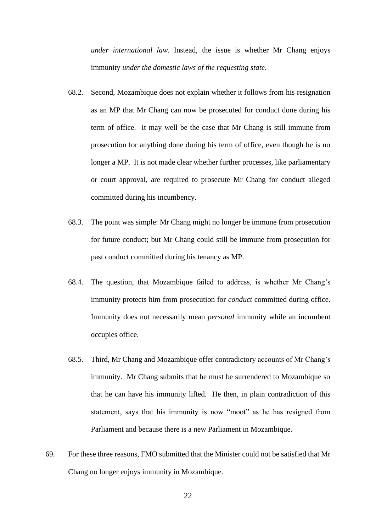*under international law*. Instead, the issue is whether Mr Chang enjoys immunity *under the domestic laws of the requesting state*.

- 68.2. Second, Mozambique does not explain whether it follows from his resignation as an MP that Mr Chang can now be prosecuted for conduct done during his term of office. It may well be the case that Mr Chang is still immune from prosecution for anything done during his term of office, even though he is no longer a MP. It is not made clear whether further processes, like parliamentary or court approval, are required to prosecute Mr Chang for conduct alleged committed during his incumbency.
- 68.3. The point was simple: Mr Chang might no longer be immune from prosecution for future conduct; but Mr Chang could still be immune from prosecution for past conduct committed during his tenancy as MP.
- 68.4. The question, that Mozambique failed to address, is whether Mr Chang's immunity protects him from prosecution for *conduct* committed during office. Immunity does not necessarily mean *personal* immunity while an incumbent occupies office.
- 68.5. Third, Mr Chang and Mozambique offer contradictory accounts of Mr Chang's immunity. Mr Chang submits that he must be surrendered to Mozambique so that he can have his immunity lifted. He then, in plain contradiction of this statement, says that his immunity is now "moot" as he has resigned from Parliament and because there is a new Parliament in Mozambique.
- 69. For these three reasons, FMO submitted that the Minister could not be satisfied that Mr Chang no longer enjoys immunity in Mozambique.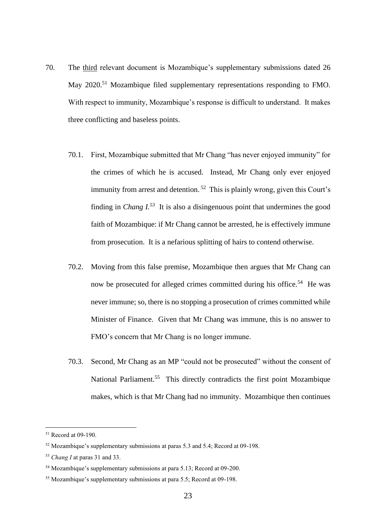- 70. The third relevant document is Mozambique's supplementary submissions dated 26 May 2020.<sup>51</sup> Mozambique filed supplementary representations responding to FMO. With respect to immunity, Mozambique's response is difficult to understand. It makes three conflicting and baseless points.
	- 70.1. First, Mozambique submitted that Mr Chang "has never enjoyed immunity" for the crimes of which he is accused. Instead, Mr Chang only ever enjoyed immunity from arrest and detention.<sup>52</sup> This is plainly wrong, given this Court's finding in *Chang*  $I^{53}$  It is also a disingenuous point that undermines the good faith of Mozambique: if Mr Chang cannot be arrested, he is effectively immune from prosecution. It is a nefarious splitting of hairs to contend otherwise.
	- 70.2. Moving from this false premise, Mozambique then argues that Mr Chang can now be prosecuted for alleged crimes committed during his office.<sup>54</sup> He was never immune; so, there is no stopping a prosecution of crimes committed while Minister of Finance. Given that Mr Chang was immune, this is no answer to FMO's concern that Mr Chang is no longer immune.
	- 70.3. Second, Mr Chang as an MP "could not be prosecuted" without the consent of National Parliament.<sup>55</sup> This directly contradicts the first point Mozambique makes, which is that Mr Chang had no immunity. Mozambique then continues

<sup>51</sup> Record at 09-190.

<sup>&</sup>lt;sup>52</sup> Mozambique's supplementary submissions at paras 5.3 and 5.4; Record at 09-198.

<sup>53</sup> *Chang I* at paras 31 and 33.

<sup>54</sup> Mozambique's supplementary submissions at para 5.13; Record at 09-200.

<sup>55</sup> Mozambique's supplementary submissions at para 5.5; Record at 09-198.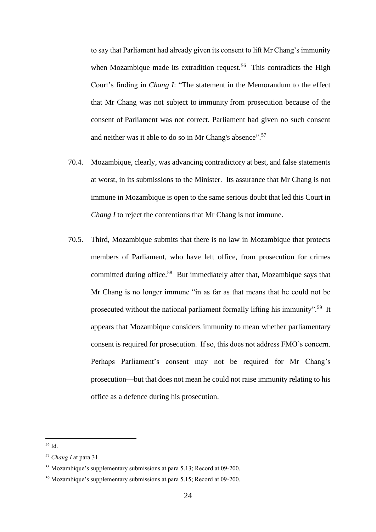to say that Parliament had already given its consent to lift Mr Chang's immunity when Mozambique made its extradition request.<sup>56</sup> This contradicts the High Court's finding in *Chang I*: "The statement in the Memorandum to the effect that Mr Chang was not subject to immunity from prosecution because of the consent of Parliament was not correct. Parliament had given no such consent and neither was it able to do so in Mr Chang's absence".<sup>57</sup>

- 70.4. Mozambique, clearly, was advancing contradictory at best, and false statements at worst, in its submissions to the Minister. Its assurance that Mr Chang is not immune in Mozambique is open to the same serious doubt that led this Court in *Chang I* to reject the contentions that Mr Chang is not immune.
- 70.5. Third, Mozambique submits that there is no law in Mozambique that protects members of Parliament, who have left office, from prosecution for crimes committed during office.<sup>58</sup> But immediately after that, Mozambique says that Mr Chang is no longer immune "in as far as that means that he could not be prosecuted without the national parliament formally lifting his immunity".<sup>59</sup> It appears that Mozambique considers immunity to mean whether parliamentary consent is required for prosecution. If so, this does not address FMO's concern. Perhaps Parliament's consent may not be required for Mr Chang's prosecution—but that does not mean he could not raise immunity relating to his office as a defence during his prosecution.

<sup>56</sup> Id.

<sup>57</sup> *Chang I* at para 31

<sup>58</sup> Mozambique's supplementary submissions at para 5.13; Record at 09-200.

<sup>59</sup> Mozambique's supplementary submissions at para 5.15; Record at 09-200.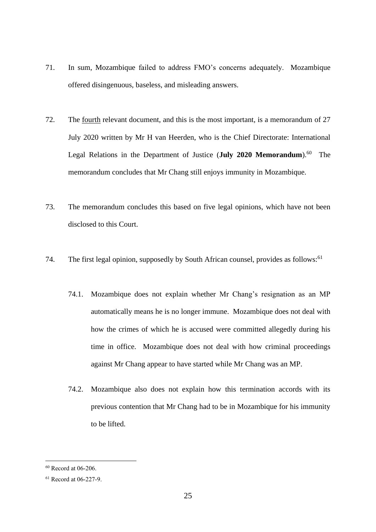- 71. In sum, Mozambique failed to address FMO's concerns adequately. Mozambique offered disingenuous, baseless, and misleading answers.
- 72. The fourth relevant document, and this is the most important, is a memorandum of 27 July 2020 written by Mr H van Heerden, who is the Chief Directorate: International Legal Relations in the Department of Justice (July 2020 Memorandum).<sup>60</sup> The memorandum concludes that Mr Chang still enjoys immunity in Mozambique.
- 73. The memorandum concludes this based on five legal opinions, which have not been disclosed to this Court.
- 74. The first legal opinion, supposedly by South African counsel, provides as follows:<sup>61</sup>
	- 74.1. Mozambique does not explain whether Mr Chang's resignation as an MP automatically means he is no longer immune. Mozambique does not deal with how the crimes of which he is accused were committed allegedly during his time in office. Mozambique does not deal with how criminal proceedings against Mr Chang appear to have started while Mr Chang was an MP.
	- 74.2. Mozambique also does not explain how this termination accords with its previous contention that Mr Chang had to be in Mozambique for his immunity to be lifted.

<sup>60</sup> Record at 06-206.

<sup>61</sup> Record at 06-227-9.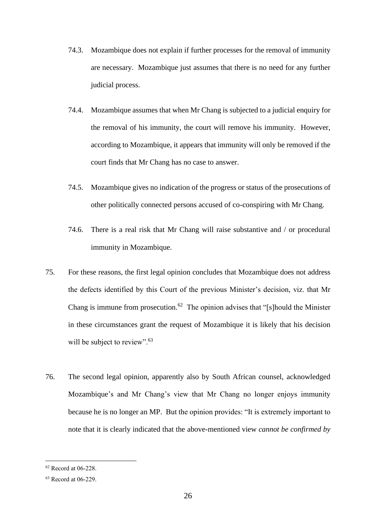- 74.3. Mozambique does not explain if further processes for the removal of immunity are necessary. Mozambique just assumes that there is no need for any further judicial process.
- 74.4. Mozambique assumes that when Mr Chang is subjected to a judicial enquiry for the removal of his immunity, the court will remove his immunity. However, according to Mozambique, it appears that immunity will only be removed if the court finds that Mr Chang has no case to answer.
- 74.5. Mozambique gives no indication of the progress or status of the prosecutions of other politically connected persons accused of co-conspiring with Mr Chang.
- 74.6. There is a real risk that Mr Chang will raise substantive and / or procedural immunity in Mozambique.
- 75. For these reasons, the first legal opinion concludes that Mozambique does not address the defects identified by this Court of the previous Minister's decision, viz. that Mr Chang is immune from prosecution.<sup>62</sup> The opinion advises that "[s]hould the Minister in these circumstances grant the request of Mozambique it is likely that his decision will be subject to review".<sup>63</sup>
- 76. The second legal opinion, apparently also by South African counsel, acknowledged Mozambique's and Mr Chang's view that Mr Chang no longer enjoys immunity because he is no longer an MP. But the opinion provides: "It is extremely important to note that it is clearly indicated that the above-mentioned view *cannot be confirmed by*

<sup>62</sup> Record at 06-228.

<sup>63</sup> Record at 06-229.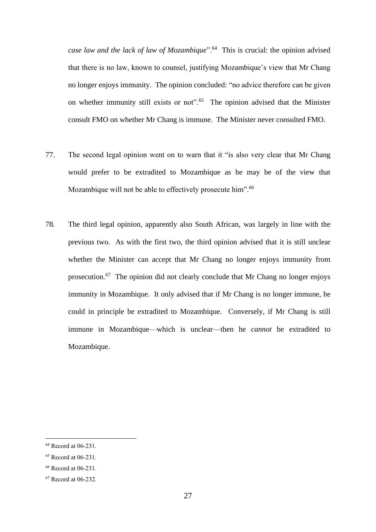case law and the lack of law of Mozambique".<sup>64</sup> This is crucial: the opinion advised that there is no law, known to counsel, justifying Mozambique's view that Mr Chang no longer enjoys immunity. The opinion concluded: "no advice therefore can be given on whether immunity still exists or not".<sup>65</sup> The opinion advised that the Minister consult FMO on whether Mr Chang is immune. The Minister never consulted FMO.

- 77. The second legal opinion went on to warn that it "is also very clear that Mr Chang would prefer to be extradited to Mozambique as he may be of the view that Mozambique will not be able to effectively prosecute him".<sup>66</sup>
- 78. The third legal opinion, apparently also South African, was largely in line with the previous two. As with the first two, the third opinion advised that it is still unclear whether the Minister can accept that Mr Chang no longer enjoys immunity from prosecution.<sup>67</sup> The opinion did not clearly conclude that Mr Chang no longer enjoys immunity in Mozambique. It only advised that if Mr Chang is no longer immune, he could in principle be extradited to Mozambique. Conversely, if Mr Chang is still immune in Mozambique—which is unclear—then he *cannot* be extradited to Mozambique.

<sup>64</sup> Record at 06-231.

<sup>65</sup> Record at 06-231.

<sup>66</sup> Record at 06-231.

<sup>67</sup> Record at 06-232.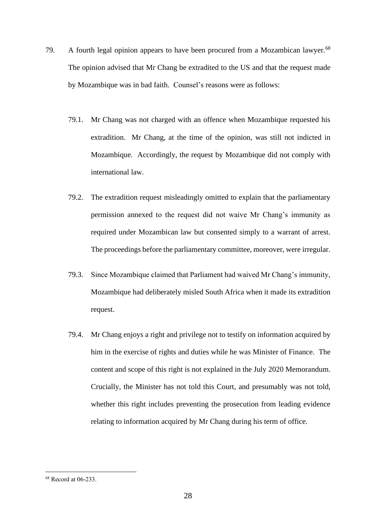- 79. A fourth legal opinion appears to have been procured from a Mozambican lawyer.<sup>68</sup> The opinion advised that Mr Chang be extradited to the US and that the request made by Mozambique was in bad faith. Counsel's reasons were as follows:
	- 79.1. Mr Chang was not charged with an offence when Mozambique requested his extradition. Mr Chang, at the time of the opinion, was still not indicted in Mozambique. Accordingly, the request by Mozambique did not comply with international law.
	- 79.2. The extradition request misleadingly omitted to explain that the parliamentary permission annexed to the request did not waive Mr Chang's immunity as required under Mozambican law but consented simply to a warrant of arrest. The proceedings before the parliamentary committee, moreover, were irregular.
	- 79.3. Since Mozambique claimed that Parliament had waived Mr Chang's immunity, Mozambique had deliberately misled South Africa when it made its extradition request.
	- 79.4. Mr Chang enjoys a right and privilege not to testify on information acquired by him in the exercise of rights and duties while he was Minister of Finance. The content and scope of this right is not explained in the July 2020 Memorandum. Crucially, the Minister has not told this Court, and presumably was not told, whether this right includes preventing the prosecution from leading evidence relating to information acquired by Mr Chang during his term of office.

<sup>68</sup> Record at 06-233.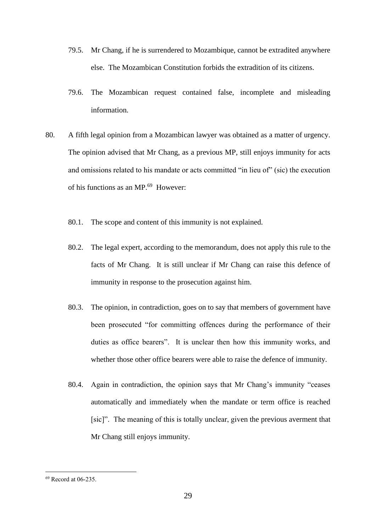- 79.5. Mr Chang, if he is surrendered to Mozambique, cannot be extradited anywhere else. The Mozambican Constitution forbids the extradition of its citizens.
- 79.6. The Mozambican request contained false, incomplete and misleading information.
- 80. A fifth legal opinion from a Mozambican lawyer was obtained as a matter of urgency. The opinion advised that Mr Chang, as a previous MP, still enjoys immunity for acts and omissions related to his mandate or acts committed "in lieu of" (sic) the execution of his functions as an MP.<sup>69</sup> However:
	- 80.1. The scope and content of this immunity is not explained.
	- 80.2. The legal expert, according to the memorandum, does not apply this rule to the facts of Mr Chang. It is still unclear if Mr Chang can raise this defence of immunity in response to the prosecution against him.
	- 80.3. The opinion, in contradiction, goes on to say that members of government have been prosecuted "for committing offences during the performance of their duties as office bearers". It is unclear then how this immunity works, and whether those other office bearers were able to raise the defence of immunity.
	- 80.4. Again in contradiction, the opinion says that Mr Chang's immunity "ceases automatically and immediately when the mandate or term office is reached [sic]". The meaning of this is totally unclear, given the previous averment that Mr Chang still enjoys immunity.

<sup>69</sup> Record at 06-235.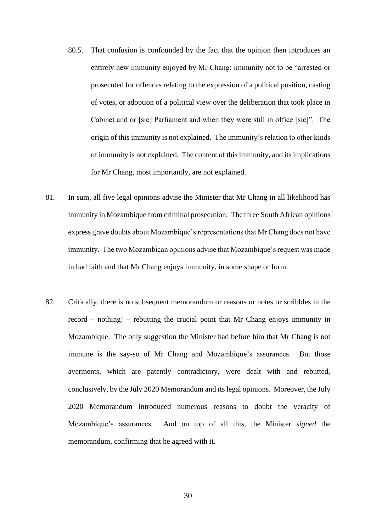- 80.5. That confusion is confounded by the fact that the opinion then introduces an entirely new immunity enjoyed by Mr Chang: immunity not to be "arrested or prosecuted for offences relating to the expression of a political position, casting of votes, or adoption of a political view over the deliberation that took place in Cabinet and or [sic] Parliament and when they were still in office [sic]". The origin of this immunity is not explained. The immunity's relation to other kinds of immunity is not explained. The content of this immunity, and its implications for Mr Chang, most importantly, are not explained.
- 81. In sum, all five legal opinions advise the Minister that Mr Chang in all likelihood has immunity in Mozambique from criminal prosecution. The three South African opinions express grave doubts about Mozambique's representations that Mr Chang does not have immunity. The two Mozambican opinions advise that Mozambique's request was made in bad faith and that Mr Chang enjoys immunity, in some shape or form.
- 82. Critically, there is no subsequent memorandum or reasons or notes or scribbles in the record – nothing! – rebutting the crucial point that Mr Chang enjoys immunity in Mozambique. The only suggestion the Minister had before him that Mr Chang is not immune is the say-so of Mr Chang and Mozambique's assurances. But those averments, which are patently contradictory, were dealt with and rebutted, conclusively, by the July 2020 Memorandum and its legal opinions. Moreover, the July 2020 Memorandum introduced numerous reasons to doubt the veracity of Mozambique's assurances. And on top of all this, the Minister *signed* the memorandum, confirming that he agreed with it.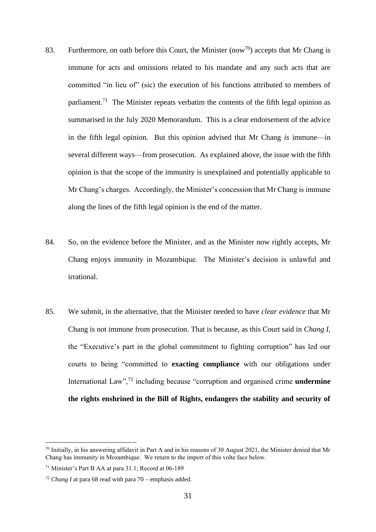- 83. Furthermore, on oath before this Court, the Minister (now<sup>70</sup>) accepts that Mr Chang is immune for acts and omissions related to his mandate and any such acts that are committed "in lieu of" (sic) the execution of his functions attributed to members of parliament.<sup>71</sup> The Minister repeats verbatim the contents of the fifth legal opinion as summarised in the July 2020 Memorandum. This is a clear endorsement of the advice in the fifth legal opinion. But this opinion advised that Mr Chang *is* immune—in several different ways—from prosecution. As explained above, the issue with the fifth opinion is that the scope of the immunity is unexplained and potentially applicable to Mr Chang's charges. Accordingly, the Minister's concession that Mr Chang is immune along the lines of the fifth legal opinion is the end of the matter.
- 84. So, on the evidence before the Minister, and as the Minister now rightly accepts, Mr Chang enjoys immunity in Mozambique. The Minister's decision is unlawful and irrational.
- 85. We submit, in the alternative, that the Minister needed to have *clear evidence* that Mr Chang is not immune from prosecution. That is because, as this Court said in *Chang I*, the "Executive's part in the global commitment to fighting corruption" has led our courts to being "committed to **exacting compliance** with our obligations under International Law",<sup>72</sup> including because "corruption and organised crime **undermine the rights enshrined in the Bill of Rights, endangers the stability and security of**

 $^{70}$  Initially, in his answering affidavit in Part A and in his reasons of 30 August 2021, the Minister denied that Mr Chang has immunity in Mozambique. We return to the import of this volte face below.

<sup>71</sup> Minister's Part B AA at para 31.1; Record at 06-189

*<sup>72</sup> Chang I* at para 68 read with para 70 – emphasis added.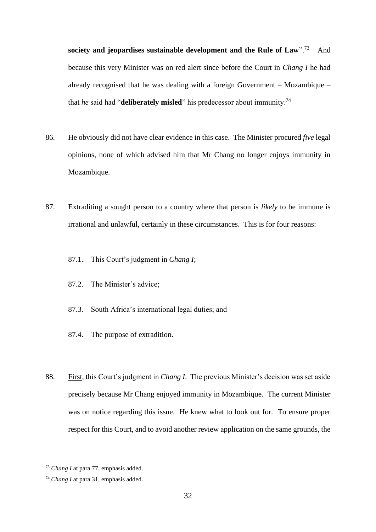**society and jeopardises sustainable development and the Rule of Law".**<sup>73</sup> And because this very Minister was on red alert since before the Court in *Chang I* he had already recognised that he was dealing with a foreign Government – Mozambique – that *he* said had "**deliberately misled**" his predecessor about immunity.<sup>74</sup>

- 86. He obviously did not have clear evidence in this case. The Minister procured *five* legal opinions, none of which advised him that Mr Chang no longer enjoys immunity in Mozambique.
- 87. Extraditing a sought person to a country where that person is *likely* to be immune is irrational and unlawful, certainly in these circumstances. This is for four reasons:
	- 87.1. This Court's judgment in *Chang I*;
	- 87.2. The Minister's advice;
	- 87.3. South Africa's international legal duties; and
	- 87.4. The purpose of extradition.
- 88. First, this Court's judgment in *Chang I*. The previous Minister's decision was set aside precisely because Mr Chang enjoyed immunity in Mozambique. The current Minister was on notice regarding this issue. He knew what to look out for. To ensure proper respect for this Court, and to avoid another review application on the same grounds, the

<sup>73</sup> *Chang I* at para 77, emphasis added.

<sup>74</sup> *Chang I* at para 31, emphasis added.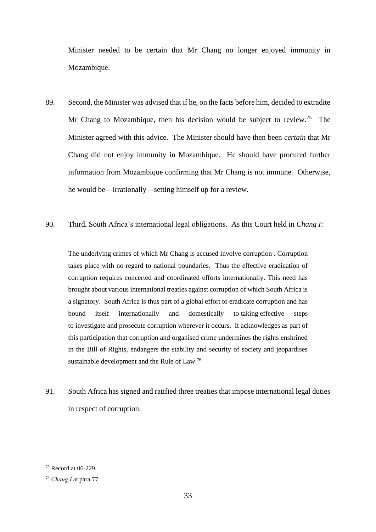Minister needed to be certain that Mr Chang no longer enjoyed immunity in Mozambique.

- 89. Second, the Minister was advised that if he, on the facts before him, decided to extradite Mr Chang to Mozambique, then his decision would be subject to review.<sup>75</sup> The Minister agreed with this advice. The Minister should have then been *certain* that Mr Chang did not enjoy immunity in Mozambique. He should have procured further information from Mozambique confirming that Mr Chang is not immune. Otherwise, he would be—irrationally—setting himself up for a review.
- 90. Third, South Africa's international legal obligations. As this Court held in *Chang I*:

The underlying crimes of which Mr Chang is accused involve corruption . Corruption takes place with no regard to national boundaries. Thus the effective eradication of corruption requires concerted and coordinated efforts internationally. This need has brought about various international treaties against corruption of which South Africa is a signatory. South Africa is thus part of a global effort to eradicate corruption and has bound itself internationally and domestically to taking effective steps to investigate and prosecute corruption wherever it occurs. It acknowledges as part of this participation that corruption and organised crime undermines the rights enshrined in the Bill of Rights, endangers the stability and security of society and jeopardises sustainable development and the Rule of Law.<sup>76</sup>

91. South Africa has signed and ratified three treaties that impose international legal duties in respect of corruption.

<sup>75</sup> Record at 06-229.

<sup>76</sup> *Chang I* at para 77.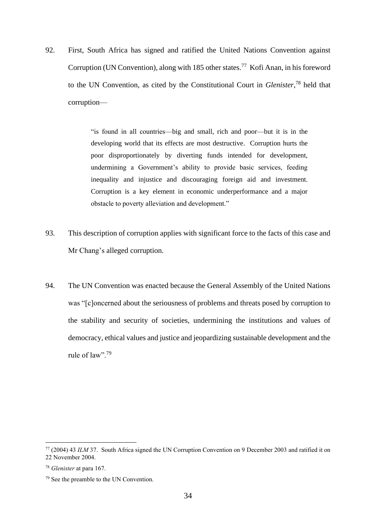92. First, South Africa has signed and ratified the United Nations Convention against Corruption (UN Convention), along with 185 other states.<sup>77</sup> Kofi Anan, in his foreword to the UN Convention, as cited by the Constitutional Court in *Glenister*, <sup>78</sup> held that corruption—

> "is found in all countries—big and small, rich and poor—but it is in the developing world that its effects are most destructive. Corruption hurts the poor disproportionately by diverting funds intended for development, undermining a Government's ability to provide basic services, feeding inequality and injustice and discouraging foreign aid and investment. Corruption is a key element in economic underperformance and a major obstacle to poverty alleviation and development."

- 93. This description of corruption applies with significant force to the facts of this case and Mr Chang's alleged corruption.
- 94. The UN Convention was enacted because the General Assembly of the United Nations was "[c]oncerned about the seriousness of problems and threats posed by corruption to the stability and security of societies, undermining the institutions and values of democracy, ethical values and justice and jeopardizing sustainable development and the rule of law".  $79$

<sup>77</sup> (2004) 43 *ILM* 37. South Africa signed the UN Corruption Convention on 9 December 2003 and ratified it on 22 November 2004.

<sup>78</sup> *Glenister* at para 167.

<sup>79</sup> See the preamble to the UN Convention.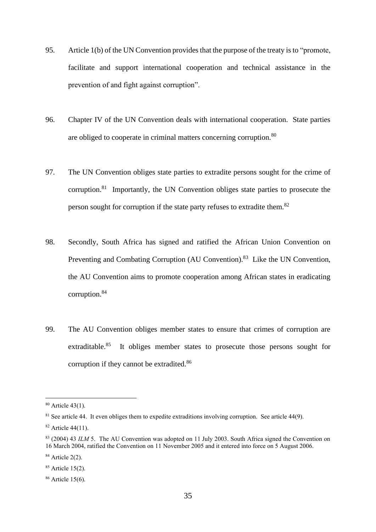- 95. Article 1(b) of the UN Convention provides that the purpose of the treaty is to "promote, facilitate and support international cooperation and technical assistance in the prevention of and fight against corruption".
- 96. Chapter IV of the UN Convention deals with international cooperation. State parties are obliged to cooperate in criminal matters concerning corruption.<sup>80</sup>
- 97. The UN Convention obliges state parties to extradite persons sought for the crime of corruption.<sup>81</sup> Importantly, the UN Convention obliges state parties to prosecute the person sought for corruption if the state party refuses to extradite them.<sup>82</sup>
- 98. Secondly, South Africa has signed and ratified the African Union Convention on Preventing and Combating Corruption (AU Convention).<sup>83</sup> Like the UN Convention, the AU Convention aims to promote cooperation among African states in eradicating corruption.<sup>84</sup>
- 99. The AU Convention obliges member states to ensure that crimes of corruption are extraditable.<sup>85</sup> It obliges member states to prosecute those persons sought for corruption if they cannot be extradited.<sup>86</sup>

<sup>80</sup> Article 43(1).

 $81$  See article 44. It even obliges them to expedite extraditions involving corruption. See article 44(9).

<sup>&</sup>lt;sup>82</sup> Article 44(11).

<sup>&</sup>lt;sup>83</sup> (2004) 43 *ILM* 5. The AU Convention was adopted on 11 July 2003. South Africa signed the Convention on 16 March 2004, ratified the Convention on 11 November 2005 and it entered into force on 5 August 2006.

<sup>84</sup> Article 2(2).

<sup>85</sup> Article 15(2).

<sup>86</sup> Article 15(6).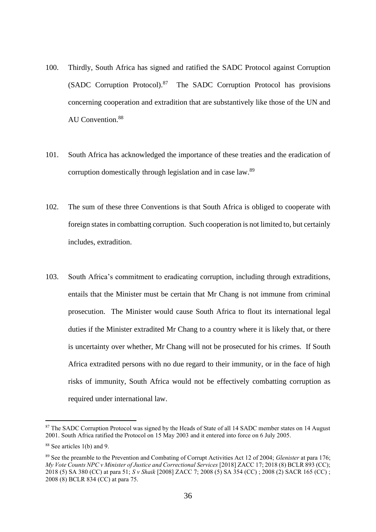- 100. Thirdly, South Africa has signed and ratified the SADC Protocol against Corruption (SADC Corruption Protocol).<sup>87</sup> The SADC Corruption Protocol has provisions concerning cooperation and extradition that are substantively like those of the UN and AU Convention.<sup>88</sup>
- 101. South Africa has acknowledged the importance of these treaties and the eradication of corruption domestically through legislation and in case law.<sup>89</sup>
- 102. The sum of these three Conventions is that South Africa is obliged to cooperate with foreign states in combatting corruption. Such cooperation is not limited to, but certainly includes, extradition.
- 103. South Africa's commitment to eradicating corruption, including through extraditions, entails that the Minister must be certain that Mr Chang is not immune from criminal prosecution. The Minister would cause South Africa to flout its international legal duties if the Minister extradited Mr Chang to a country where it is likely that, or there is uncertainty over whether, Mr Chang will not be prosecuted for his crimes. If South Africa extradited persons with no due regard to their immunity, or in the face of high risks of immunity, South Africa would not be effectively combatting corruption as required under international law.

<sup>&</sup>lt;sup>87</sup> The SADC Corruption Protocol was signed by the Heads of State of all 14 SADC member states on 14 August 2001. South Africa ratified the Protocol on 15 May 2003 and it entered into force on 6 July 2005.

<sup>88</sup> See articles 1(b) and 9.

<sup>89</sup> See the preamble to the Prevention and Combating of Corrupt Activities Act 12 of 2004; *Glenister* at para 176; *My Vote Counts NPC v Minister of Justice and Correctional Services* [2018] ZACC 17; 2018 (8) BCLR 893 (CC); 2018 (5) SA 380 (CC) at para 51; *S v Shaik* [2008] ZACC 7; 2008 (5) SA 354 (CC) ; 2008 (2) SACR 165 (CC) ; 2008 (8) BCLR 834 (CC) at para 75.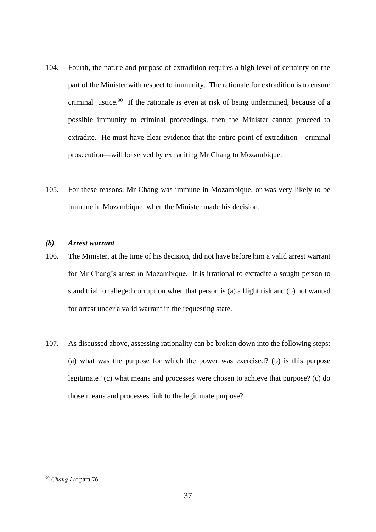- 104. Fourth, the nature and purpose of extradition requires a high level of certainty on the part of the Minister with respect to immunity. The rationale for extradition is to ensure criminal justice. 90 If the rationale is even at risk of being undermined, because of a possible immunity to criminal proceedings, then the Minister cannot proceed to extradite. He must have clear evidence that the entire point of extradition—criminal prosecution—will be served by extraditing Mr Chang to Mozambique.
- 105. For these reasons, Mr Chang was immune in Mozambique, or was very likely to be immune in Mozambique, when the Minister made his decision.

#### *(b) Arrest warrant*

- 106. The Minister, at the time of his decision, did not have before him a valid arrest warrant for Mr Chang's arrest in Mozambique. It is irrational to extradite a sought person to stand trial for alleged corruption when that person is (a) a flight risk and (b) not wanted for arrest under a valid warrant in the requesting state.
- 107. As discussed above, assessing rationality can be broken down into the following steps: (a) what was the purpose for which the power was exercised? (b) is this purpose legitimate? (c) what means and processes were chosen to achieve that purpose? (c) do those means and processes link to the legitimate purpose?

<sup>90</sup> *Chang I* at para 76.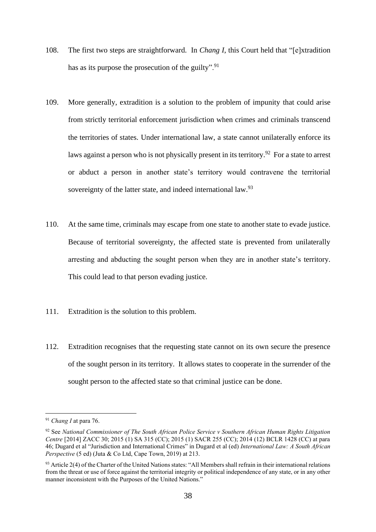- 108. The first two steps are straightforward. In *Chang I*, this Court held that "[e]xtradition has as its purpose the prosecution of the guilty". $\frac{91}{2}$
- 109. More generally, extradition is a solution to the problem of impunity that could arise from strictly territorial enforcement jurisdiction when crimes and criminals transcend the territories of states. Under international law, a state cannot unilaterally enforce its laws against a person who is not physically present in its territory.<sup>92</sup> For a state to arrest or abduct a person in another state's territory would contravene the territorial sovereignty of the latter state, and indeed international law.<sup>93</sup>
- 110. At the same time, criminals may escape from one state to another state to evade justice. Because of territorial sovereignty, the affected state is prevented from unilaterally arresting and abducting the sought person when they are in another state's territory. This could lead to that person evading justice.
- 111. Extradition is the solution to this problem.
- 112. Extradition recognises that the requesting state cannot on its own secure the presence of the sought person in its territory. It allows states to cooperate in the surrender of the sought person to the affected state so that criminal justice can be done.

<sup>91</sup> *Chang I* at para 76.

<sup>92</sup> See *National Commissioner of The South African Police Service v Southern African Human Rights Litigation Centre* [2014] ZACC 30; 2015 (1) SA 315 (CC); 2015 (1) SACR 255 (CC); 2014 (12) BCLR 1428 (CC) at para 46; Dugard et al "Jurisdiction and International Crimes" in Dugard et al (ed) *International Law: A South African Perspective* (5 ed) (Juta & Co Ltd, Cape Town, 2019) at 213.

 $93$  Article 2(4) of the Charter of the United Nations states: "All Members shall refrain in their international relations from the threat or use of force against the territorial integrity or political independence of any state, or in any other manner inconsistent with the Purposes of the United Nations."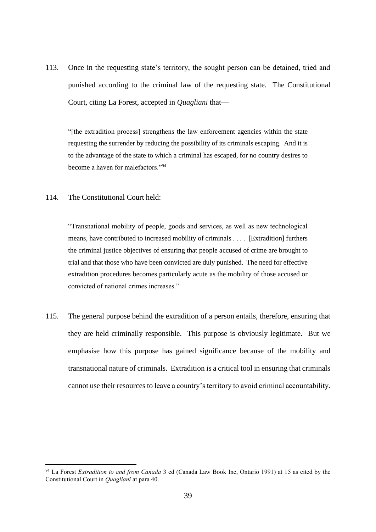113. Once in the requesting state's territory, the sought person can be detained, tried and punished according to the criminal law of the requesting state. The Constitutional Court, citing La Forest, accepted in *Quagliani* that—

"[the extradition process] strengthens the law enforcement agencies within the state requesting the surrender by reducing the possibility of its criminals escaping. And it is to the advantage of the state to which a criminal has escaped, for no country desires to become a haven for malefactors."<sup>94</sup>

# 114. The Constitutional Court held:

"Transnational mobility of people, goods and services, as well as new technological means, have contributed to increased mobility of criminals . . . . [Extradition] furthers the criminal justice objectives of ensuring that people accused of crime are brought to trial and that those who have been convicted are duly punished. The need for effective extradition procedures becomes particularly acute as the mobility of those accused or convicted of national crimes increases."

115. The general purpose behind the extradition of a person entails, therefore, ensuring that they are held criminally responsible. This purpose is obviously legitimate. But we emphasise how this purpose has gained significance because of the mobility and transnational nature of criminals. Extradition is a critical tool in ensuring that criminals cannot use their resources to leave a country's territory to avoid criminal accountability.

<sup>94</sup> La Forest *Extradition to and from Canada* 3 ed (Canada Law Book Inc, Ontario 1991) at 15 as cited by the Constitutional Court in *Quagliani* at para 40.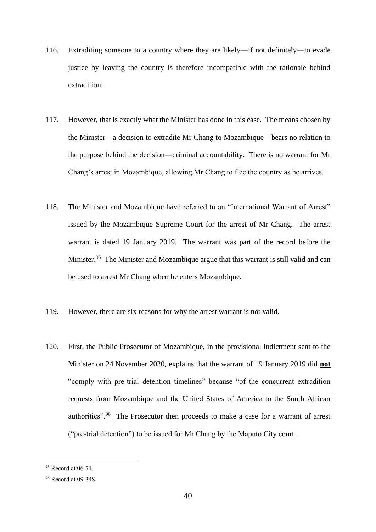- 116. Extraditing someone to a country where they are likely—if not definitely—to evade justice by leaving the country is therefore incompatible with the rationale behind extradition.
- 117. However, that is exactly what the Minister has done in this case. The means chosen by the Minister—a decision to extradite Mr Chang to Mozambique—bears no relation to the purpose behind the decision—criminal accountability. There is no warrant for Mr Chang's arrest in Mozambique, allowing Mr Chang to flee the country as he arrives.
- 118. The Minister and Mozambique have referred to an "International Warrant of Arrest" issued by the Mozambique Supreme Court for the arrest of Mr Chang. The arrest warrant is dated 19 January 2019. The warrant was part of the record before the Minister.<sup>95</sup> The Minister and Mozambique argue that this warrant is still valid and can be used to arrest Mr Chang when he enters Mozambique.
- 119. However, there are six reasons for why the arrest warrant is not valid.
- 120. First, the Public Prosecutor of Mozambique, in the provisional indictment sent to the Minister on 24 November 2020, explains that the warrant of 19 January 2019 did **not** "comply with pre-trial detention timelines" because "of the concurrent extradition requests from Mozambique and the United States of America to the South African authorities".<sup>96</sup> The Prosecutor then proceeds to make a case for a warrant of arrest ("pre-trial detention") to be issued for Mr Chang by the Maputo City court.

<sup>&</sup>lt;sup>95</sup> Record at 06-71.

<sup>96</sup> Record at 09-348.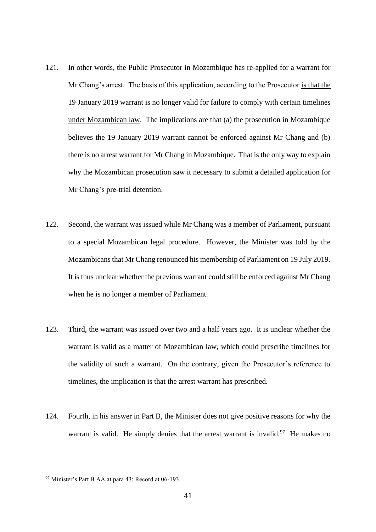- 121. In other words, the Public Prosecutor in Mozambique has re-applied for a warrant for Mr Chang's arrest. The basis of this application, according to the Prosecutor is that the 19 January 2019 warrant is no longer valid for failure to comply with certain timelines under Mozambican law. The implications are that (a) the prosecution in Mozambique believes the 19 January 2019 warrant cannot be enforced against Mr Chang and (b) there is no arrest warrant for Mr Chang in Mozambique. That is the only way to explain why the Mozambican prosecution saw it necessary to submit a detailed application for Mr Chang's pre-trial detention.
- 122. Second, the warrant was issued while Mr Chang was a member of Parliament, pursuant to a special Mozambican legal procedure. However, the Minister was told by the Mozambicans that Mr Chang renounced his membership of Parliament on 19 July 2019. It is thus unclear whether the previous warrant could still be enforced against Mr Chang when he is no longer a member of Parliament.
- 123. Third, the warrant was issued over two and a half years ago. It is unclear whether the warrant is valid as a matter of Mozambican law, which could prescribe timelines for the validity of such a warrant. On the contrary, given the Prosecutor's reference to timelines, the implication is that the arrest warrant has prescribed.
- 124. Fourth, in his answer in Part B, the Minister does not give positive reasons for why the warrant is valid. He simply denies that the arrest warrant is invalid.<sup>97</sup> He makes no

<sup>97</sup> Minister's Part B AA at para 43; Record at 06-193.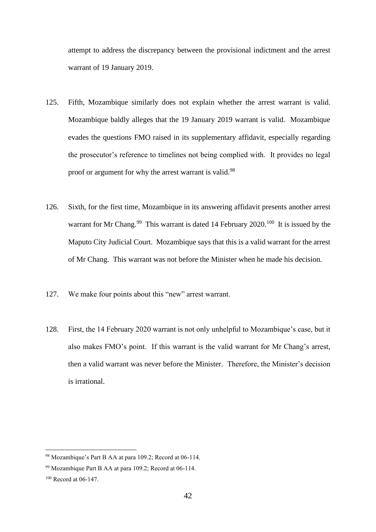attempt to address the discrepancy between the provisional indictment and the arrest warrant of 19 January 2019.

- 125. Fifth, Mozambique similarly does not explain whether the arrest warrant is valid. Mozambique baldly alleges that the 19 January 2019 warrant is valid. Mozambique evades the questions FMO raised in its supplementary affidavit, especially regarding the prosecutor's reference to timelines not being complied with. It provides no legal proof or argument for why the arrest warrant is valid.<sup>98</sup>
- 126. Sixth, for the first time, Mozambique in its answering affidavit presents another arrest warrant for Mr Chang.<sup>99</sup> This warrant is dated 14 February 2020.<sup>100</sup> It is issued by the Maputo City Judicial Court. Mozambique says that this is a valid warrant for the arrest of Mr Chang. This warrant was not before the Minister when he made his decision.
- 127. We make four points about this "new" arrest warrant.
- 128. First, the 14 February 2020 warrant is not only unhelpful to Mozambique's case, but it also makes FMO's point. If this warrant is the valid warrant for Mr Chang's arrest, then a valid warrant was never before the Minister. Therefore, the Minister's decision is irrational.

<sup>98</sup> Mozambique's Part B AA at para 109.2; Record at 06-114.

<sup>99</sup> Mozambique Part B AA at para 109.2; Record at 06-114.

<sup>100</sup> Record at 06-147.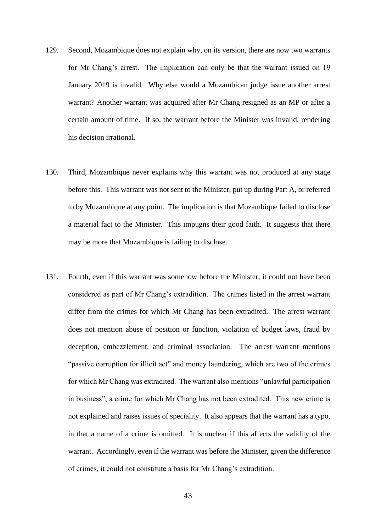- 129. Second, Mozambique does not explain why, on its version, there are now two warrants for Mr Chang's arrest. The implication can only be that the warrant issued on 19 January 2019 is invalid. Why else would a Mozambican judge issue another arrest warrant? Another warrant was acquired after Mr Chang resigned as an MP or after a certain amount of time. If so, the warrant before the Minister was invalid, rendering his decision irrational.
- 130. Third, Mozambique never explains why this warrant was not produced at any stage before this. This warrant was not sent to the Minister, put up during Part A, or referred to by Mozambique at any point. The implication is that Mozambique failed to disclose a material fact to the Minister. This impugns their good faith. It suggests that there may be more that Mozambique is failing to disclose.
- 131. Fourth, even if this warrant was somehow before the Minister, it could not have been considered as part of Mr Chang's extradition. The crimes listed in the arrest warrant differ from the crimes for which Mr Chang has been extradited. The arrest warrant does not mention abuse of position or function, violation of budget laws, fraud by deception, embezzlement, and criminal association. The arrest warrant mentions "passive corruption for illicit act" and money laundering, which are two of the crimes for which Mr Chang was extradited. The warrant also mentions "unlawful participation in business", a crime for which Mr Chang has not been extradited. This new crime is not explained and raises issues of speciality. It also appears that the warrant has a typo, in that a name of a crime is omitted. It is unclear if this affects the validity of the warrant. Accordingly, even if the warrant was before the Minister, given the difference of crimes, it could not constitute a basis for Mr Chang's extradition.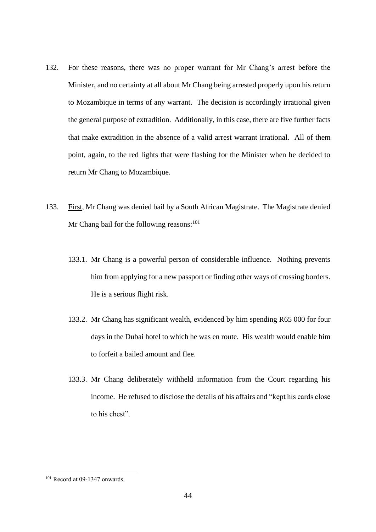- 132. For these reasons, there was no proper warrant for Mr Chang's arrest before the Minister, and no certainty at all about Mr Chang being arrested properly upon his return to Mozambique in terms of any warrant. The decision is accordingly irrational given the general purpose of extradition. Additionally, in this case, there are five further facts that make extradition in the absence of a valid arrest warrant irrational. All of them point, again, to the red lights that were flashing for the Minister when he decided to return Mr Chang to Mozambique.
- 133. First, Mr Chang was denied bail by a South African Magistrate. The Magistrate denied Mr Chang bail for the following reasons:  $101$ 
	- 133.1. Mr Chang is a powerful person of considerable influence. Nothing prevents him from applying for a new passport or finding other ways of crossing borders. He is a serious flight risk.
	- 133.2. Mr Chang has significant wealth, evidenced by him spending R65 000 for four days in the Dubai hotel to which he was en route. His wealth would enable him to forfeit a bailed amount and flee.
	- 133.3. Mr Chang deliberately withheld information from the Court regarding his income. He refused to disclose the details of his affairs and "kept his cards close to his chest".

<sup>101</sup> Record at 09-1347 onwards.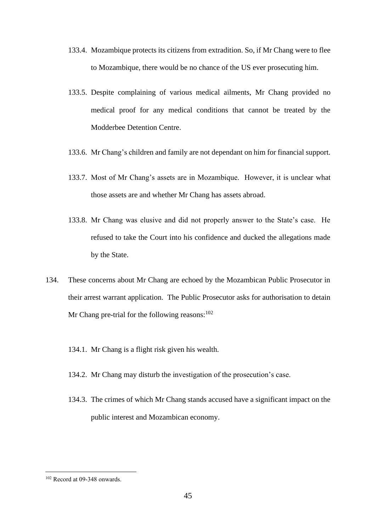- 133.4. Mozambique protects its citizens from extradition. So, if Mr Chang were to flee to Mozambique, there would be no chance of the US ever prosecuting him.
- 133.5. Despite complaining of various medical ailments, Mr Chang provided no medical proof for any medical conditions that cannot be treated by the Modderbee Detention Centre.
- 133.6. Mr Chang's children and family are not dependant on him for financial support.
- 133.7. Most of Mr Chang's assets are in Mozambique. However, it is unclear what those assets are and whether Mr Chang has assets abroad.
- 133.8. Mr Chang was elusive and did not properly answer to the State's case. He refused to take the Court into his confidence and ducked the allegations made by the State.
- 134. These concerns about Mr Chang are echoed by the Mozambican Public Prosecutor in their arrest warrant application. The Public Prosecutor asks for authorisation to detain Mr Chang pre-trial for the following reasons:  $102$ 
	- 134.1. Mr Chang is a flight risk given his wealth.
	- 134.2. Mr Chang may disturb the investigation of the prosecution's case.
	- 134.3. The crimes of which Mr Chang stands accused have a significant impact on the public interest and Mozambican economy.

<sup>102</sup> Record at 09-348 onwards.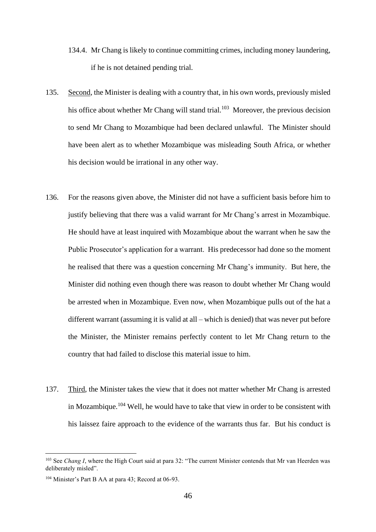- 134.4. Mr Chang is likely to continue committing crimes, including money laundering, if he is not detained pending trial.
- 135. Second, the Minister is dealing with a country that, in his own words, previously misled his office about whether Mr Chang will stand trial.<sup>103</sup> Moreover, the previous decision to send Mr Chang to Mozambique had been declared unlawful. The Minister should have been alert as to whether Mozambique was misleading South Africa, or whether his decision would be irrational in any other way.
- 136. For the reasons given above, the Minister did not have a sufficient basis before him to justify believing that there was a valid warrant for Mr Chang's arrest in Mozambique. He should have at least inquired with Mozambique about the warrant when he saw the Public Prosecutor's application for a warrant. His predecessor had done so the moment he realised that there was a question concerning Mr Chang's immunity. But here, the Minister did nothing even though there was reason to doubt whether Mr Chang would be arrested when in Mozambique. Even now, when Mozambique pulls out of the hat a different warrant (assuming it is valid at all – which is denied) that was never put before the Minister, the Minister remains perfectly content to let Mr Chang return to the country that had failed to disclose this material issue to him.
- 137. Third, the Minister takes the view that it does not matter whether Mr Chang is arrested in Mozambique.<sup>104</sup> Well, he would have to take that view in order to be consistent with his laissez faire approach to the evidence of the warrants thus far. But his conduct is

<sup>&</sup>lt;sup>103</sup> See *Chang I*, where the High Court said at para 32: "The current Minister contends that Mr van Heerden was deliberately misled".

<sup>104</sup> Minister's Part B AA at para 43; Record at 06-93.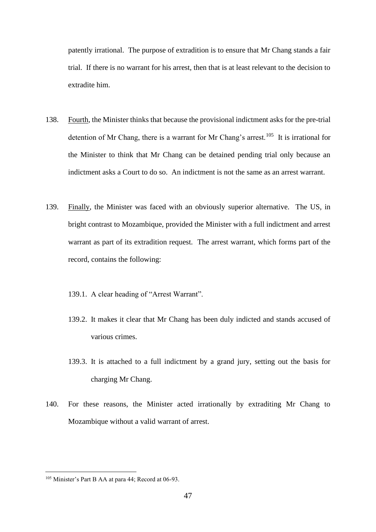patently irrational. The purpose of extradition is to ensure that Mr Chang stands a fair trial. If there is no warrant for his arrest, then that is at least relevant to the decision to extradite him.

- 138. Fourth, the Minister thinks that because the provisional indictment asks for the pre-trial detention of Mr Chang, there is a warrant for Mr Chang's arrest.<sup>105</sup> It is irrational for the Minister to think that Mr Chang can be detained pending trial only because an indictment asks a Court to do so. An indictment is not the same as an arrest warrant.
- 139. Finally, the Minister was faced with an obviously superior alternative. The US, in bright contrast to Mozambique, provided the Minister with a full indictment and arrest warrant as part of its extradition request. The arrest warrant, which forms part of the record, contains the following:
	- 139.1. A clear heading of "Arrest Warrant".
	- 139.2. It makes it clear that Mr Chang has been duly indicted and stands accused of various crimes.
	- 139.3. It is attached to a full indictment by a grand jury, setting out the basis for charging Mr Chang.
- 140. For these reasons, the Minister acted irrationally by extraditing Mr Chang to Mozambique without a valid warrant of arrest.

<sup>&</sup>lt;sup>105</sup> Minister's Part B AA at para 44; Record at 06-93.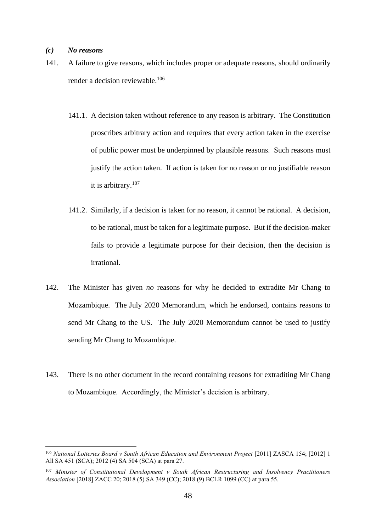### *(c) No reasons*

- 141. A failure to give reasons, which includes proper or adequate reasons, should ordinarily render a decision reviewable.<sup>106</sup>
	- 141.1. A decision taken without reference to any reason is arbitrary. The Constitution proscribes arbitrary action and requires that every action taken in the exercise of public power must be underpinned by plausible reasons. Such reasons must justify the action taken. If action is taken for no reason or no justifiable reason it is arbitrary. 107
	- 141.2. Similarly, if a decision is taken for no reason, it cannot be rational. A decision, to be rational, must be taken for a legitimate purpose. But if the decision-maker fails to provide a legitimate purpose for their decision, then the decision is irrational.
- 142. The Minister has given *no* reasons for why he decided to extradite Mr Chang to Mozambique. The July 2020 Memorandum, which he endorsed, contains reasons to send Mr Chang to the US. The July 2020 Memorandum cannot be used to justify sending Mr Chang to Mozambique.
- 143. There is no other document in the record containing reasons for extraditing Mr Chang to Mozambique. Accordingly, the Minister's decision is arbitrary.

<sup>106</sup> *National Lotteries Board v South African Education and Environment Project* [2011] ZASCA 154; [2012] 1 All SA 451 (SCA); 2012 (4) SA 504 (SCA) at para 27.

<sup>107</sup> *Minister of Constitutional Development v South African Restructuring and Insolvency Practitioners Association* [2018] ZACC 20; 2018 (5) SA 349 (CC); 2018 (9) BCLR 1099 (CC) at para 55.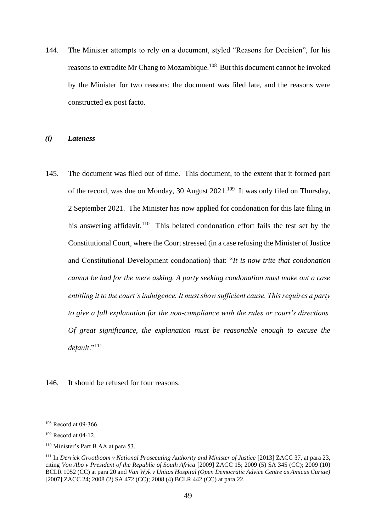144. The Minister attempts to rely on a document, styled "Reasons for Decision", for his reasons to extradite Mr Chang to Mozambique.<sup>108</sup> But this document cannot be invoked by the Minister for two reasons: the document was filed late, and the reasons were constructed ex post facto.

#### *(i) Lateness*

145. The document was filed out of time. This document, to the extent that it formed part of the record, was due on Monday, 30 August  $2021$ .<sup>109</sup> It was only filed on Thursday, 2 September 2021. The Minister has now applied for condonation for this late filing in his answering affidavit.<sup>110</sup> This belated condonation effort fails the test set by the Constitutional Court, where the Court stressed (in a case refusing the Minister of Justice and Constitutional Development condonation) that: "*It is now trite that condonation cannot be had for the mere asking. A party seeking condonation must make out a case entitling it to the court's indulgence. It must show sufficient cause. This requires a party to give a full explanation for the non-compliance with the rules or court's directions. Of great significance, the explanation must be reasonable enough to excuse the default*."<sup>111</sup>

146. It should be refused for four reasons.

<sup>108</sup> Record at 09-366.

<sup>109</sup> Record at 04-12.

<sup>110</sup> Minister's Part B AA at para 53.

<sup>111</sup> In *Derrick Grootboom v National Prosecuting Authority and Minister of Justice* [2013] ZACC 37, at para 23, citing *Von Abo v President of the Republic of South Africa* [2009] ZACC 15; 2009 (5) SA 345 (CC); 2009 (10) BCLR 1052 (CC) at para 20 and *Van Wyk v Unitas Hospital (Open Democratic Advice Centre as Amicus Curiae)* [2007] ZACC 24; 2008 (2) SA 472 (CC); 2008 (4) BCLR 442 (CC) at para 22.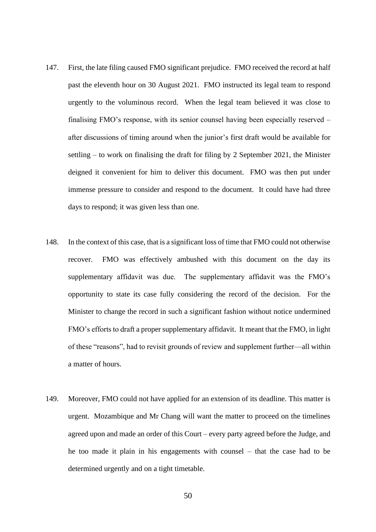- 147. First, the late filing caused FMO significant prejudice. FMO received the record at half past the eleventh hour on 30 August 2021. FMO instructed its legal team to respond urgently to the voluminous record. When the legal team believed it was close to finalising FMO's response, with its senior counsel having been especially reserved – after discussions of timing around when the junior's first draft would be available for settling – to work on finalising the draft for filing by 2 September 2021, the Minister deigned it convenient for him to deliver this document. FMO was then put under immense pressure to consider and respond to the document. It could have had three days to respond; it was given less than one.
- 148. In the context of this case, that is a significant loss of time that FMO could not otherwise recover. FMO was effectively ambushed with this document on the day its supplementary affidavit was due. The supplementary affidavit was the FMO's opportunity to state its case fully considering the record of the decision. For the Minister to change the record in such a significant fashion without notice undermined FMO's efforts to draft a proper supplementary affidavit. It meant that the FMO, in light of these "reasons", had to revisit grounds of review and supplement further—all within a matter of hours.
- 149. Moreover, FMO could not have applied for an extension of its deadline. This matter is urgent. Mozambique and Mr Chang will want the matter to proceed on the timelines agreed upon and made an order of this Court – every party agreed before the Judge, and he too made it plain in his engagements with counsel – that the case had to be determined urgently and on a tight timetable.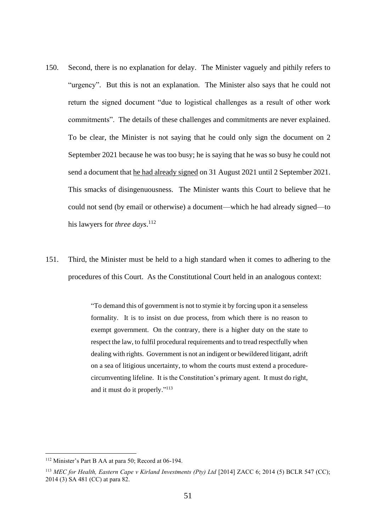- 150. Second, there is no explanation for delay. The Minister vaguely and pithily refers to "urgency". But this is not an explanation. The Minister also says that he could not return the signed document "due to logistical challenges as a result of other work commitments". The details of these challenges and commitments are never explained. To be clear, the Minister is not saying that he could only sign the document on 2 September 2021 because he was too busy; he is saying that he was so busy he could not send a document that he had already signed on 31 August 2021 until 2 September 2021. This smacks of disingenuousness. The Minister wants this Court to believe that he could not send (by email or otherwise) a document—which he had already signed—to his lawyers for *three days*. 112
- 151. Third, the Minister must be held to a high standard when it comes to adhering to the procedures of this Court. As the Constitutional Court held in an analogous context:

"To demand this of government is not to stymie it by forcing upon it a senseless formality. It is to insist on due process, from which there is no reason to exempt government. On the contrary, there is a higher duty on the state to respect the law, to fulfil procedural requirements and to tread respectfully when dealing with rights. Government is not an indigent or bewildered litigant, adrift on a sea of litigious uncertainty, to whom the courts must extend a procedurecircumventing lifeline. It is the Constitution's primary agent. It must do right, and it must do it properly." 113

<sup>112</sup> Minister's Part B AA at para 50; Record at 06-194.

<sup>113</sup> *MEC for Health, Eastern Cape v Kirland Investments (Pty) Ltd* [2014] ZACC 6; 2014 (5) BCLR 547 (CC); 2014 (3) SA 481 (CC) at para 82.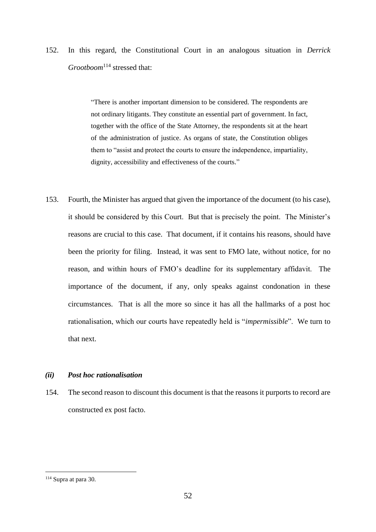152. In this regard, the Constitutional Court in an analogous situation in *Derrick Grootboom*<sup>114</sup> stressed that:

> "There is another important dimension to be considered. The respondents are not ordinary litigants. They constitute an essential part of government. In fact, together with the office of the State Attorney, the respondents sit at the heart of the administration of justice. As organs of state, the Constitution obliges them to "assist and protect the courts to ensure the independence, impartiality, dignity, accessibility and effectiveness of the courts."

153. Fourth, the Minister has argued that given the importance of the document (to his case), it should be considered by this Court. But that is precisely the point. The Minister's reasons are crucial to this case. That document, if it contains his reasons, should have been the priority for filing. Instead, it was sent to FMO late, without notice, for no reason, and within hours of FMO's deadline for its supplementary affidavit. The importance of the document, if any, only speaks against condonation in these circumstances. That is all the more so since it has all the hallmarks of a post hoc rationalisation, which our courts have repeatedly held is "*impermissible*". We turn to that next.

#### *(ii) Post hoc rationalisation*

154. The second reason to discount this document is that the reasons it purports to record are constructed ex post facto.

<sup>114</sup> Supra at para 30.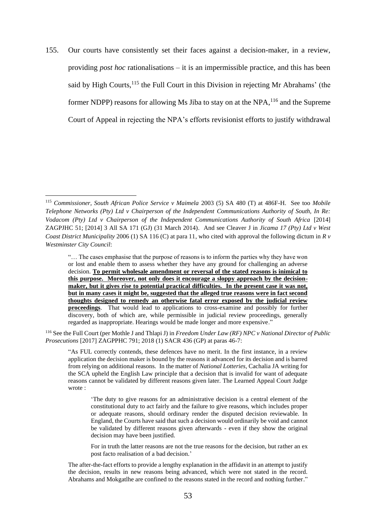155. Our courts have consistently set their faces against a decision-maker, in a review, providing *post hoc* rationalisations – it is an impermissible practice, and this has been said by High Courts,<sup>115</sup> the Full Court in this Division in rejecting Mr Abrahams' (the former NDPP) reasons for allowing Ms Jiba to stay on at the NPA, <sup>116</sup> and the Supreme Court of Appeal in rejecting the NPA's efforts revisionist efforts to justify withdrawal

<sup>116</sup> See the Full Court (per Mothle J and Thlapi J) in *Freedom Under Law (RF) NPC v National Director of Public Prosecutions* [2017] ZAGPPHC 791; 2018 (1) SACR 436 (GP) at paras 46-7:

"As FUL correctly contends, these defences have no merit. In the first instance, in a review application the decision maker is bound by the reasons it advanced for its decision and is barred from relying on additional reasons. In the matter of *National Lotteries*, Cachalia JA writing for the SCA upheld the English Law principle that a decision that is invalid for want of adequate reasons cannot be validated by different reasons given later. The Learned Appeal Court Judge wrote :

'The duty to give reasons for an administrative decision is a central element of the constitutional duty to act fairly and the failure to give reasons, which includes proper or adequate reasons, should ordinary render the disputed decision reviewable. In England, the Courts have said that such a decision would ordinarily be void and cannot be validated by different reasons given afterwards - even if they show the original decision may have been justified.

For in truth the latter reasons are not the true reasons for the decision, but rather an ex post facto realisation of a bad decision.'

The after-the-fact efforts to provide a lengthy explanation in the affidavit in an attempt to justify the decision, results in new reasons being advanced, which were not stated in the record. Abrahams and Mokgatlhe are confined to the reasons stated in the record and nothing further."

<sup>115</sup> *Commissioner, South African Police Service v Maimela* 2003 (5) SA 480 (T) at 486F-H. See too *Mobile Telephone Networks (Pty) Ltd v Chairperson of the Independent Communications Authority of South, In Re: Vodacom (Pty) Ltd v Chairperson of the Independent Communications Authority of South Africa* [2014] ZAGPJHC 51; [2014] 3 All SA 171 (GJ) (31 March 2014). And see Cleaver J in *Jicama 17 (Pty) Ltd v West Coast District Municipality* 2006 (1) SA 116 (C) at para 11, who cited with approval the following dictum in *R v Westminster City Council*:

<sup>&</sup>quot;… The cases emphasise that the purpose of reasons is to inform the parties why they have won or lost and enable them to assess whether they have any ground for challenging an adverse decision. **To permit wholesale amendment or reversal of the stated reasons is inimical to this purpose. Moreover, not only does it encourage a sloppy approach by the decisionmaker, but it gives rise to potential practical difficulties. In the present case it was not, but in many cases it might be, suggested that the alleged true reasons were in fact second thoughts designed to remedy an otherwise fatal error exposed by the judicial review proceedings**. That would lead to applications to cross-examine and possibly for further discovery, both of which are, while permissible in judicial review proceedings, generally regarded as inappropriate. Hearings would be made longer and more expensive."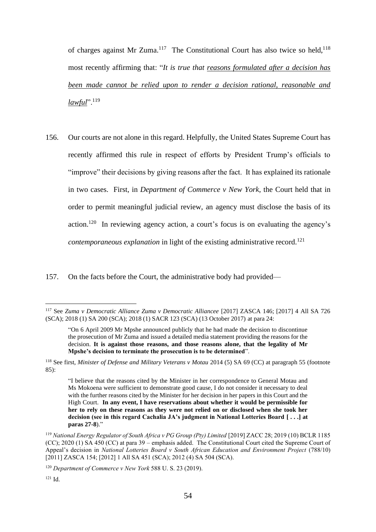of charges against Mr Zuma.<sup>117</sup> The Constitutional Court has also twice so held,<sup>118</sup> most recently affirming that: "*It is true that reasons formulated after a decision has been made cannot be relied upon to render a decision rational, reasonable and lawful*".<sup>119</sup>

156. Our courts are not alone in this regard. Helpfully, the United States Supreme Court has recently affirmed this rule in respect of efforts by President Trump's officials to "improve" their decisions by giving reasons after the fact. It has explained its rationale in two cases. First, in *Department of Commerce v New York*, the Court held that in order to permit meaningful judicial review, an agency must disclose the basis of its action.<sup>120</sup> In reviewing agency action, a court's focus is on evaluating the agency's *contemporaneous explanation* in light of the existing administrative record.<sup>121</sup>

157. On the facts before the Court, the administrative body had provided—

<sup>121</sup> Id.

<sup>117</sup> See *Zuma v Democratic Alliance Zuma v Democratic Alliancee* [2017] ZASCA 146; [2017] 4 All SA 726 (SCA); 2018 (1) SA 200 (SCA); 2018 (1) SACR 123 (SCA) (13 October 2017) at para 24:

<sup>&</sup>quot;On 6 April 2009 Mr Mpshe announced publicly that he had made the decision to discontinue the prosecution of Mr Zuma and issued a detailed media statement providing the reasons for the decision. **It is against those reasons, and those reasons alone, that the legality of Mr Mpshe's decision to terminate the prosecution is to be determined**".

<sup>&</sup>lt;sup>118</sup> See first, *Minister of Defense and Military Veterans v Motau* 2014 (5) SA 69 (CC) at paragraph 55 (footnote 85):

<sup>&</sup>quot;I believe that the reasons cited by the Minister in her correspondence to General Motau and Ms Mokoena were sufficient to demonstrate good cause, I do not consider it necessary to deal with the further reasons cited by the Minister for her decision in her papers in this Court and the High Court. **In any event, I have reservations about whether it would be permissible for her to rely on these reasons as they were not relied on or disclosed when she took her decision (see in this regard Cachalia JA's judgment in National Lotteries Board [ . . .] at paras 27-8**)."

<sup>&</sup>lt;sup>119</sup> *National Energy Regulator of South Africa v PG Group (Pty) Limited* [2019] ZACC 28; 2019 (10) BCLR 1185 (CC); 2020 (1) SA 450 (CC) at para 39 – emphasis added. The Constitutional Court cited the Supreme Court of Appeal's decision in *National Lotteries Board v South African Education and Environment Project* (788/10) [2011] ZASCA 154; [2012] 1 All SA 451 (SCA); 2012 (4) SA 504 (SCA).

<sup>120</sup> *Department of Commerce v New York* 588 U. S. 23 (2019).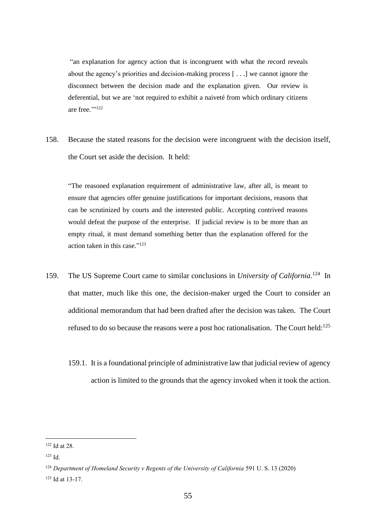"an explanation for agency action that is incongruent with what the record reveals about the agency's priorities and decision-making process [ . . .] we cannot ignore the disconnect between the decision made and the explanation given. Our review is deferential, but we are 'not required to exhibit a naiveté from which ordinary citizens are free.""<sup>122</sup>

158. Because the stated reasons for the decision were incongruent with the decision itself, the Court set aside the decision. It held:

"The reasoned explanation requirement of administrative law, after all, is meant to ensure that agencies offer genuine justifications for important decisions, reasons that can be scrutinized by courts and the interested public. Accepting contrived reasons would defeat the purpose of the enterprise. If judicial review is to be more than an empty ritual, it must demand something better than the explanation offered for the action taken in this case." 123

- 159. The US Supreme Court came to similar conclusions in *University of California*.<sup>124</sup> In that matter, much like this one, the decision-maker urged the Court to consider an additional memorandum that had been drafted after the decision was taken. The Court refused to do so because the reasons were a post hoc rationalisation. The Court held:<sup>125</sup>
	- 159.1. It is a foundational principle of administrative law that judicial review of agency action is limited to the grounds that the agency invoked when it took the action.

<sup>122</sup> Id at 28.

<sup>123</sup> Id.

<sup>&</sup>lt;sup>124</sup> Department of Homeland Security v Regents of the University of California 591 U.S. 13 (2020)

<sup>125</sup> Id at 13-17.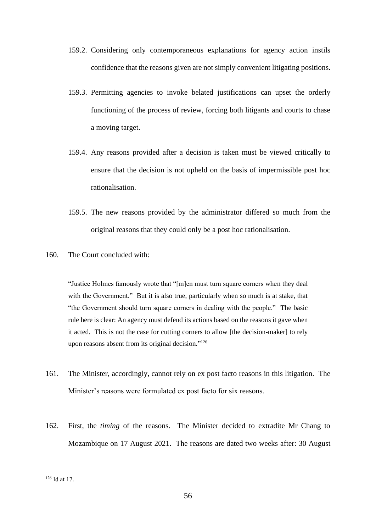- 159.2. Considering only contemporaneous explanations for agency action instils confidence that the reasons given are not simply convenient litigating positions.
- 159.3. Permitting agencies to invoke belated justifications can upset the orderly functioning of the process of review, forcing both litigants and courts to chase a moving target.
- 159.4. Any reasons provided after a decision is taken must be viewed critically to ensure that the decision is not upheld on the basis of impermissible post hoc rationalisation.
- 159.5. The new reasons provided by the administrator differed so much from the original reasons that they could only be a post hoc rationalisation.
- 160. The Court concluded with:

"Justice Holmes famously wrote that "[m]en must turn square corners when they deal with the Government." But it is also true, particularly when so much is at stake, that "the Government should turn square corners in dealing with the people." The basic rule here is clear: An agency must defend its actions based on the reasons it gave when it acted. This is not the case for cutting corners to allow [the decision-maker] to rely upon reasons absent from its original decision."<sup>126</sup>

- 161. The Minister, accordingly, cannot rely on ex post facto reasons in this litigation. The Minister's reasons were formulated ex post facto for six reasons.
- 162. First, the *timing* of the reasons. The Minister decided to extradite Mr Chang to Mozambique on 17 August 2021. The reasons are dated two weeks after: 30 August

<sup>126</sup> Id at 17.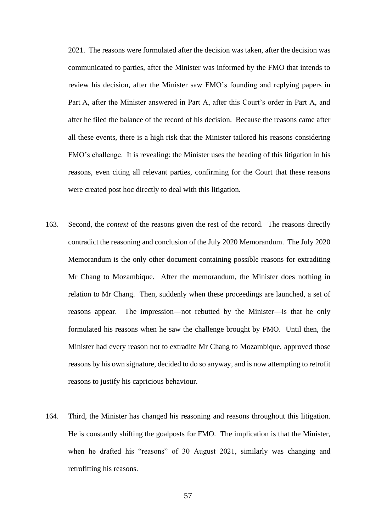2021. The reasons were formulated after the decision was taken, after the decision was communicated to parties, after the Minister was informed by the FMO that intends to review his decision, after the Minister saw FMO's founding and replying papers in Part A, after the Minister answered in Part A, after this Court's order in Part A, and after he filed the balance of the record of his decision. Because the reasons came after all these events, there is a high risk that the Minister tailored his reasons considering FMO's challenge. It is revealing: the Minister uses the heading of this litigation in his reasons, even citing all relevant parties, confirming for the Court that these reasons were created post hoc directly to deal with this litigation.

- 163. Second, the *context* of the reasons given the rest of the record. The reasons directly contradict the reasoning and conclusion of the July 2020 Memorandum. The July 2020 Memorandum is the only other document containing possible reasons for extraditing Mr Chang to Mozambique. After the memorandum, the Minister does nothing in relation to Mr Chang. Then, suddenly when these proceedings are launched, a set of reasons appear. The impression—not rebutted by the Minister—is that he only formulated his reasons when he saw the challenge brought by FMO. Until then, the Minister had every reason not to extradite Mr Chang to Mozambique, approved those reasons by his own signature, decided to do so anyway, and is now attempting to retrofit reasons to justify his capricious behaviour.
- 164. Third, the Minister has changed his reasoning and reasons throughout this litigation. He is constantly shifting the goalposts for FMO. The implication is that the Minister, when he drafted his "reasons" of 30 August 2021, similarly was changing and retrofitting his reasons.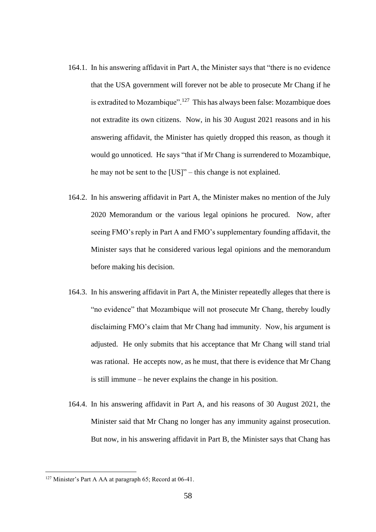- 164.1. In his answering affidavit in Part A, the Minister says that "there is no evidence that the USA government will forever not be able to prosecute Mr Chang if he is extradited to Mozambique".<sup>127</sup> This has always been false: Mozambique does not extradite its own citizens. Now, in his 30 August 2021 reasons and in his answering affidavit, the Minister has quietly dropped this reason, as though it would go unnoticed. He says "that if Mr Chang is surrendered to Mozambique, he may not be sent to the [US]" – this change is not explained.
- 164.2. In his answering affidavit in Part A, the Minister makes no mention of the July 2020 Memorandum or the various legal opinions he procured. Now, after seeing FMO's reply in Part A and FMO's supplementary founding affidavit, the Minister says that he considered various legal opinions and the memorandum before making his decision.
- 164.3. In his answering affidavit in Part A, the Minister repeatedly alleges that there is "no evidence" that Mozambique will not prosecute Mr Chang, thereby loudly disclaiming FMO's claim that Mr Chang had immunity. Now, his argument is adjusted. He only submits that his acceptance that Mr Chang will stand trial was rational. He accepts now, as he must, that there is evidence that Mr Chang is still immune – he never explains the change in his position.
- 164.4. In his answering affidavit in Part A, and his reasons of 30 August 2021, the Minister said that Mr Chang no longer has any immunity against prosecution. But now, in his answering affidavit in Part B, the Minister says that Chang has

<sup>&</sup>lt;sup>127</sup> Minister's Part A AA at paragraph 65; Record at 06-41.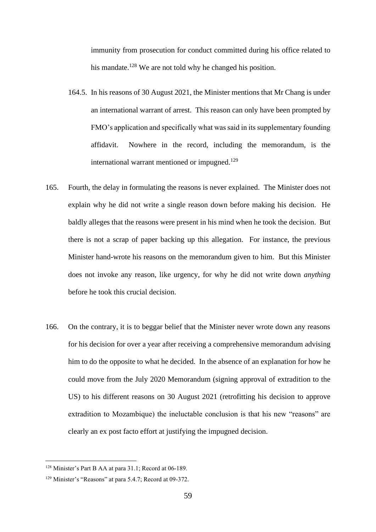immunity from prosecution for conduct committed during his office related to his mandate.<sup>128</sup> We are not told why he changed his position.

- 164.5. In his reasons of 30 August 2021, the Minister mentions that Mr Chang is under an international warrant of arrest. This reason can only have been prompted by FMO's application and specifically what was said in its supplementary founding affidavit. Nowhere in the record, including the memorandum, is the international warrant mentioned or impugned.<sup>129</sup>
- 165. Fourth, the delay in formulating the reasons is never explained. The Minister does not explain why he did not write a single reason down before making his decision. He baldly alleges that the reasons were present in his mind when he took the decision. But there is not a scrap of paper backing up this allegation. For instance, the previous Minister hand-wrote his reasons on the memorandum given to him. But this Minister does not invoke any reason, like urgency, for why he did not write down *anything*  before he took this crucial decision.
- 166. On the contrary, it is to beggar belief that the Minister never wrote down any reasons for his decision for over a year after receiving a comprehensive memorandum advising him to do the opposite to what he decided. In the absence of an explanation for how he could move from the July 2020 Memorandum (signing approval of extradition to the US) to his different reasons on 30 August 2021 (retrofitting his decision to approve extradition to Mozambique) the ineluctable conclusion is that his new "reasons" are clearly an ex post facto effort at justifying the impugned decision.

<sup>128</sup> Minister's Part B AA at para 31.1; Record at 06-189.

<sup>129</sup> Minister's "Reasons" at para 5.4.7; Record at 09-372.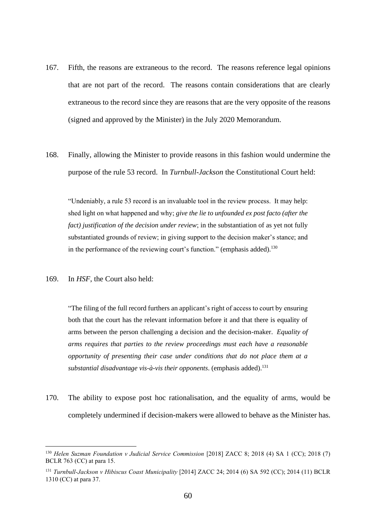- 167. Fifth, the reasons are extraneous to the record. The reasons reference legal opinions that are not part of the record. The reasons contain considerations that are clearly extraneous to the record since they are reasons that are the very opposite of the reasons (signed and approved by the Minister) in the July 2020 Memorandum.
- 168. Finally, allowing the Minister to provide reasons in this fashion would undermine the purpose of the rule 53 record. In *Turnbull-Jackson* the Constitutional Court held:

"Undeniably, a rule 53 record is an invaluable tool in the review process. It may help: shed light on what happened and why; *give the lie to unfounded ex post facto (after the fact) justification of the decision under review*; in the substantiation of as yet not fully substantiated grounds of review; in giving support to the decision maker's stance; and in the performance of the reviewing court's function." (emphasis added).<sup>130</sup>

169. In *HSF*, the Court also held:

"The filing of the full record furthers an applicant's right of access to court by ensuring both that the court has the relevant information before it and that there is equality of arms between the person challenging a decision and the decision-maker. *Equality of arms requires that parties to the review proceedings must each have a reasonable opportunity of presenting their case under conditions that do not place them at a substantial disadvantage vis-à-vis their opponents*. (emphasis added).<sup>131</sup>

170. The ability to expose post hoc rationalisation, and the equality of arms, would be completely undermined if decision-makers were allowed to behave as the Minister has.

<sup>130</sup> *Helen Suzman Foundation v Judicial Service Commission* [2018] ZACC 8; 2018 (4) SA 1 (CC); 2018 (7) BCLR 763 (CC) at para 15.

<sup>131</sup> *Turnbull-Jackson v Hibiscus Coast Municipality* [2014] ZACC 24; 2014 (6) SA 592 (CC); 2014 (11) BCLR 1310 (CC) at para 37.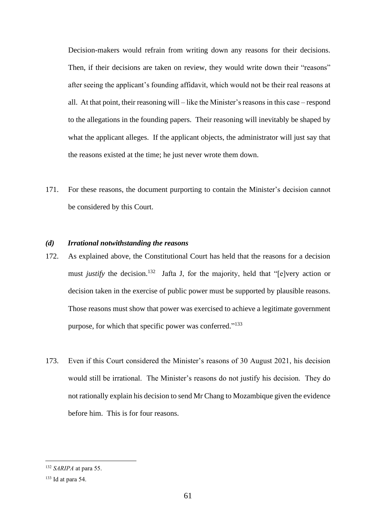Decision-makers would refrain from writing down any reasons for their decisions. Then, if their decisions are taken on review, they would write down their "reasons" after seeing the applicant's founding affidavit, which would not be their real reasons at all. At that point, their reasoning will – like the Minister's reasons in this case – respond to the allegations in the founding papers. Their reasoning will inevitably be shaped by what the applicant alleges. If the applicant objects, the administrator will just say that the reasons existed at the time; he just never wrote them down.

171. For these reasons, the document purporting to contain the Minister's decision cannot be considered by this Court.

#### *(d) Irrational notwithstanding the reasons*

- 172. As explained above, the Constitutional Court has held that the reasons for a decision must *justify* the decision.<sup>132</sup> Jafta J, for the majority, held that "[e]very action or decision taken in the exercise of public power must be supported by plausible reasons. Those reasons must show that power was exercised to achieve a legitimate government purpose, for which that specific power was conferred."<sup>133</sup>
- 173. Even if this Court considered the Minister's reasons of 30 August 2021, his decision would still be irrational. The Minister's reasons do not justify his decision. They do not rationally explain his decision to send Mr Chang to Mozambique given the evidence before him. This is for four reasons.

<sup>132</sup> *SARIPA* at para 55.

<sup>133</sup> Id at para 54.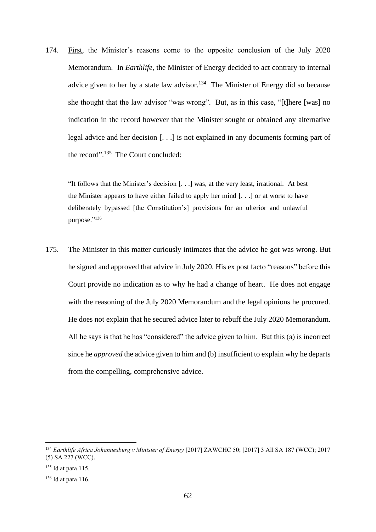174. First, the Minister's reasons come to the opposite conclusion of the July 2020 Memorandum. In *Earthlife*, the Minister of Energy decided to act contrary to internal advice given to her by a state law advisor.<sup>134</sup> The Minister of Energy did so because she thought that the law advisor "was wrong". But, as in this case, "[t]here [was] no indication in the record however that the Minister sought or obtained any alternative legal advice and her decision [. . .] is not explained in any documents forming part of the record".<sup>135</sup> The Court concluded:

"It follows that the Minister's decision [. . .] was, at the very least, irrational. At best the Minister appears to have either failed to apply her mind [. . .] or at worst to have deliberately bypassed [the Constitution's] provisions for an ulterior and unlawful purpose." 136

175. The Minister in this matter curiously intimates that the advice he got was wrong. But he signed and approved that advice in July 2020. His ex post facto "reasons" before this Court provide no indication as to why he had a change of heart. He does not engage with the reasoning of the July 2020 Memorandum and the legal opinions he procured. He does not explain that he secured advice later to rebuff the July 2020 Memorandum. All he says is that he has "considered" the advice given to him. But this (a) is incorrect since he *approved* the advice given to him and (b) insufficient to explain why he departs from the compelling, comprehensive advice.

<sup>134</sup> *Earthlife Africa Johannesburg v Minister of Energy* [2017] ZAWCHC 50; [2017] 3 All SA 187 (WCC); 2017 (5) SA 227 (WCC).

 $135$  Id at para 115.

<sup>136</sup> Id at para 116.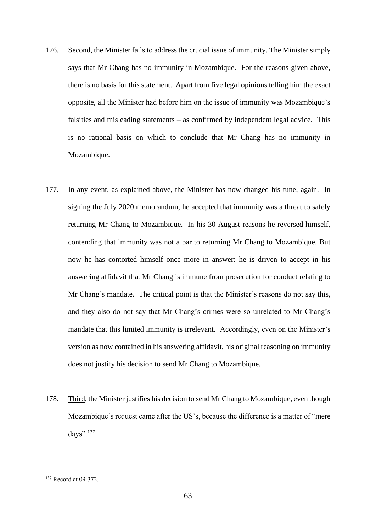- 176. Second, the Minister fails to address the crucial issue of immunity. The Minister simply says that Mr Chang has no immunity in Mozambique. For the reasons given above, there is no basis for this statement. Apart from five legal opinions telling him the exact opposite, all the Minister had before him on the issue of immunity was Mozambique's falsities and misleading statements – as confirmed by independent legal advice. This is no rational basis on which to conclude that Mr Chang has no immunity in Mozambique.
- 177. In any event, as explained above, the Minister has now changed his tune, again. In signing the July 2020 memorandum, he accepted that immunity was a threat to safely returning Mr Chang to Mozambique. In his 30 August reasons he reversed himself, contending that immunity was not a bar to returning Mr Chang to Mozambique. But now he has contorted himself once more in answer: he is driven to accept in his answering affidavit that Mr Chang is immune from prosecution for conduct relating to Mr Chang's mandate. The critical point is that the Minister's reasons do not say this, and they also do not say that Mr Chang's crimes were so unrelated to Mr Chang's mandate that this limited immunity is irrelevant. Accordingly, even on the Minister's version as now contained in his answering affidavit, his original reasoning on immunity does not justify his decision to send Mr Chang to Mozambique.
- 178. Third, the Minister justifies his decision to send Mr Chang to Mozambique, even though Mozambique's request came after the US's, because the difference is a matter of "mere days".<sup>137</sup>

<sup>137</sup> Record at 09-372.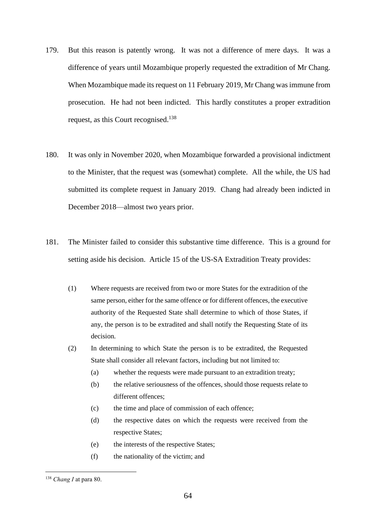- 179. But this reason is patently wrong. It was not a difference of mere days. It was a difference of years until Mozambique properly requested the extradition of Mr Chang. When Mozambique made its request on 11 February 2019, Mr Chang was immune from prosecution. He had not been indicted. This hardly constitutes a proper extradition request, as this Court recognised.<sup>138</sup>
- 180. It was only in November 2020, when Mozambique forwarded a provisional indictment to the Minister, that the request was (somewhat) complete. All the while, the US had submitted its complete request in January 2019. Chang had already been indicted in December 2018—almost two years prior.
- 181. The Minister failed to consider this substantive time difference. This is a ground for setting aside his decision. Article 15 of the US-SA Extradition Treaty provides:
	- (1) Where requests are received from two or more States for the extradition of the same person, either for the same offence or for different offences, the executive authority of the Requested State shall determine to which of those States, if any, the person is to be extradited and shall notify the Requesting State of its decision.
	- (2) In determining to which State the person is to be extradited, the Requested State shall consider all relevant factors, including but not limited to:
		- (a) whether the requests were made pursuant to an extradition treaty;
		- (b) the relative seriousness of the offences, should those requests relate to different offences;
		- (c) the time and place of commission of each offence;
		- (d) the respective dates on which the requests were received from the respective States;
		- (e) the interests of the respective States;
		- (f) the nationality of the victim; and

<sup>138</sup> *Chang I* at para 80.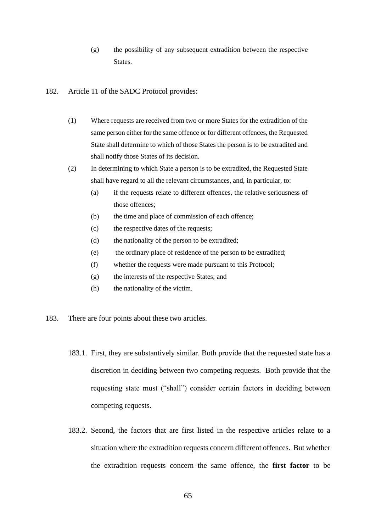- (g) the possibility of any subsequent extradition between the respective States.
- 182. Article 11 of the SADC Protocol provides:
	- (1) Where requests are received from two or more States for the extradition of the same person either for the same offence or for different offences, the Requested State shall determine to which of those States the person is to be extradited and shall notify those States of its decision.
	- (2) In determining to which State a person is to be extradited, the Requested State shall have regard to all the relevant circumstances, and, in particular, to:
		- (a) if the requests relate to different offences, the relative seriousness of those offences;
		- (b) the time and place of commission of each offence;
		- (c) the respective dates of the requests;
		- (d) the nationality of the person to be extradited;
		- (e) the ordinary place of residence of the person to be extradited;
		- (f) whether the requests were made pursuant to this Protocol;
		- (g) the interests of the respective States; and
		- (h) the nationality of the victim.
- 183. There are four points about these two articles.
	- 183.1. First, they are substantively similar. Both provide that the requested state has a discretion in deciding between two competing requests. Both provide that the requesting state must ("shall") consider certain factors in deciding between competing requests.
	- 183.2. Second, the factors that are first listed in the respective articles relate to a situation where the extradition requests concern different offences. But whether the extradition requests concern the same offence, the **first factor** to be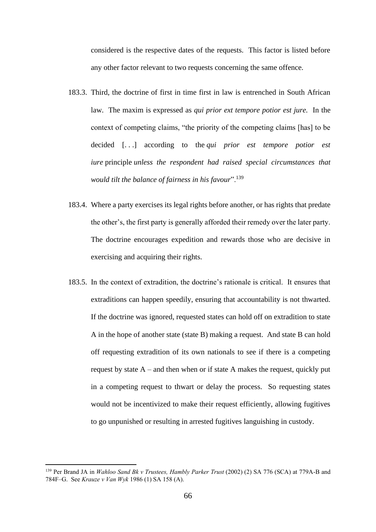considered is the respective dates of the requests. This factor is listed before any other factor relevant to two requests concerning the same offence.

- 183.3. Third, the doctrine of first in time first in law is entrenched in South African law. The maxim is expressed as *qui prior ext tempore potior est jure.* In the context of competing claims, "the priority of the competing claims [has] to be decided [. . .] according to the *qui prior est tempore potior est iure* principle *unless the respondent had raised special circumstances that would tilt the balance of fairness in his favour*".<sup>139</sup>
- 183.4. Where a party exercises its legal rights before another, or has rights that predate the other's, the first party is generally afforded their remedy over the later party. The doctrine encourages expedition and rewards those who are decisive in exercising and acquiring their rights.
- 183.5. In the context of extradition, the doctrine's rationale is critical. It ensures that extraditions can happen speedily, ensuring that accountability is not thwarted. If the doctrine was ignored, requested states can hold off on extradition to state A in the hope of another state (state B) making a request. And state B can hold off requesting extradition of its own nationals to see if there is a competing request by state  $A$  – and then when or if state A makes the request, quickly put in a competing request to thwart or delay the process. So requesting states would not be incentivized to make their request efficiently, allowing fugitives to go unpunished or resulting in arrested fugitives languishing in custody.

<sup>139</sup> Per Brand JA in *Wahloo Sand Bk v Trustees, Hambly Parker Trust* (2002) (2) SA 776 (SCA) at 779A-B and 784F–G. See *Krauze v Van Wyk* 1986 (1) SA 158 (A).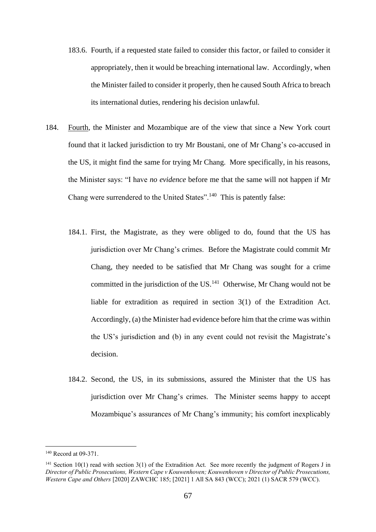- 183.6. Fourth, if a requested state failed to consider this factor, or failed to consider it appropriately, then it would be breaching international law. Accordingly, when the Minister failed to consider it properly, then he caused South Africa to breach its international duties, rendering his decision unlawful.
- 184. Fourth, the Minister and Mozambique are of the view that since a New York court found that it lacked jurisdiction to try Mr Boustani, one of Mr Chang's co-accused in the US, it might find the same for trying Mr Chang. More specifically, in his reasons, the Minister says: "I have *no evidence* before me that the same will not happen if Mr Chang were surrendered to the United States".<sup>140</sup> This is patently false:
	- 184.1. First, the Magistrate, as they were obliged to do, found that the US has jurisdiction over Mr Chang's crimes. Before the Magistrate could commit Mr Chang, they needed to be satisfied that Mr Chang was sought for a crime committed in the jurisdiction of the US. $<sup>141</sup>$  Otherwise, Mr Chang would not be</sup> liable for extradition as required in section 3(1) of the Extradition Act. Accordingly, (a) the Minister had evidence before him that the crime was within the US's jurisdiction and (b) in any event could not revisit the Magistrate's decision.
	- 184.2. Second, the US, in its submissions, assured the Minister that the US has jurisdiction over Mr Chang's crimes. The Minister seems happy to accept Mozambique's assurances of Mr Chang's immunity; his comfort inexplicably

<sup>140</sup> Record at 09-371.

<sup>&</sup>lt;sup>141</sup> Section 10(1) read with section 3(1) of the Extradition Act. See more recently the judgment of Rogers J in *Director of Public Prosecutions, Western Cape v Kouwenhoven; Kouwenhoven v Director of Public Prosecutions, Western Cape and Others* [2020] ZAWCHC 185; [2021] 1 All SA 843 (WCC); 2021 (1) SACR 579 (WCC).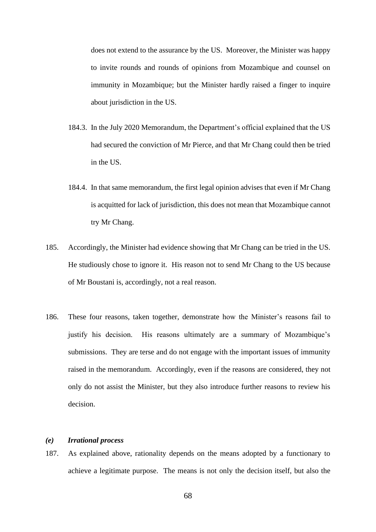does not extend to the assurance by the US. Moreover, the Minister was happy to invite rounds and rounds of opinions from Mozambique and counsel on immunity in Mozambique; but the Minister hardly raised a finger to inquire about jurisdiction in the US.

- 184.3. In the July 2020 Memorandum, the Department's official explained that the US had secured the conviction of Mr Pierce, and that Mr Chang could then be tried in the US.
- 184.4. In that same memorandum, the first legal opinion advises that even if Mr Chang is acquitted for lack of jurisdiction, this does not mean that Mozambique cannot try Mr Chang.
- 185. Accordingly, the Minister had evidence showing that Mr Chang can be tried in the US. He studiously chose to ignore it. His reason not to send Mr Chang to the US because of Mr Boustani is, accordingly, not a real reason.
- 186. These four reasons, taken together, demonstrate how the Minister's reasons fail to justify his decision. His reasons ultimately are a summary of Mozambique's submissions. They are terse and do not engage with the important issues of immunity raised in the memorandum. Accordingly, even if the reasons are considered, they not only do not assist the Minister, but they also introduce further reasons to review his decision.

# *(e) Irrational process*

187. As explained above, rationality depends on the means adopted by a functionary to achieve a legitimate purpose. The means is not only the decision itself, but also the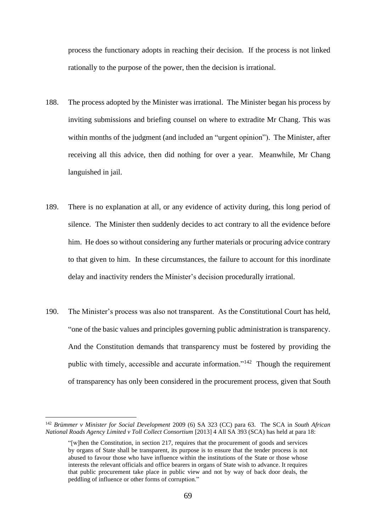process the functionary adopts in reaching their decision. If the process is not linked rationally to the purpose of the power, then the decision is irrational.

- 188. The process adopted by the Minister was irrational. The Minister began his process by inviting submissions and briefing counsel on where to extradite Mr Chang. This was within months of the judgment (and included an "urgent opinion"). The Minister, after receiving all this advice, then did nothing for over a year. Meanwhile, Mr Chang languished in jail.
- 189. There is no explanation at all, or any evidence of activity during, this long period of silence. The Minister then suddenly decides to act contrary to all the evidence before him. He does so without considering any further materials or procuring advice contrary to that given to him. In these circumstances, the failure to account for this inordinate delay and inactivity renders the Minister's decision procedurally irrational.
- 190. The Minister's process was also not transparent. As the Constitutional Court has held, "one of the basic values and principles governing public administration is transparency. And the Constitution demands that transparency must be fostered by providing the public with timely, accessible and accurate information."<sup>142</sup> Though the requirement of transparency has only been considered in the procurement process, given that South

<sup>142</sup> *Brümmer v Minister for Social Development* 2009 (6) SA 323 (CC) para 63. The SCA in *South African National Roads Agency Limited v Toll Collect Consortium* [2013] 4 All SA 393 (SCA) has held at para 18:

<sup>&</sup>quot;[w]hen the Constitution, in section 217, requires that the procurement of goods and services by organs of State shall be transparent, its purpose is to ensure that the tender process is not abused to favour those who have influence within the institutions of the State or those whose interests the relevant officials and office bearers in organs of State wish to advance. It requires that public procurement take place in public view and not by way of back door deals, the peddling of influence or other forms of corruption."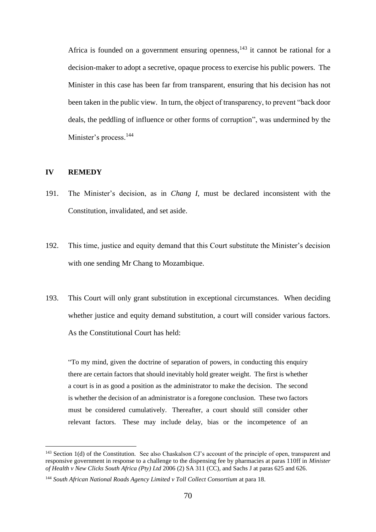Africa is founded on a government ensuring openness,  $143$  it cannot be rational for a decision-maker to adopt a secretive, opaque process to exercise his public powers. The Minister in this case has been far from transparent, ensuring that his decision has not been taken in the public view. In turn, the object of transparency, to prevent "back door deals, the peddling of influence or other forms of corruption", was undermined by the Minister's process.<sup>144</sup>

# **IV REMEDY**

- 191. The Minister's decision, as in *Chang I*, must be declared inconsistent with the Constitution, invalidated, and set aside.
- 192. This time, justice and equity demand that this Court substitute the Minister's decision with one sending Mr Chang to Mozambique.
- 193. This Court will only grant substitution in exceptional circumstances. When deciding whether justice and equity demand substitution, a court will consider various factors. As the Constitutional Court has held:

"To my mind, given the doctrine of separation of powers, in conducting this enquiry there are certain factors that should inevitably hold greater weight. The first is whether a court is in as good a position as the administrator to make the decision. The second is whether the decision of an administrator is a foregone conclusion. These two factors must be considered cumulatively. Thereafter, a court should still consider other relevant factors. These may include delay, bias or the incompetence of an

<sup>&</sup>lt;sup>143</sup> Section 1(d) of the Constitution. See also Chaskalson CJ's account of the principle of open, transparent and responsive government in response to a challenge to the dispensing fee by pharmacies at paras 110ff in *Minister of Health v New Clicks South Africa (Pty) Ltd* 2006 (2) SA 311 (CC), and Sachs J at paras 625 and 626.

<sup>&</sup>lt;sup>144</sup> South African National Roads Agency Limited v Toll Collect Consortium at para 18.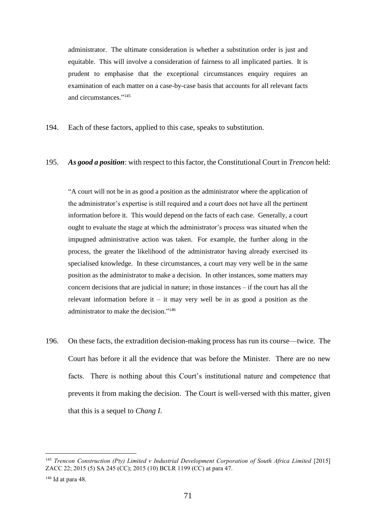administrator. The ultimate consideration is whether a substitution order is just and equitable. This will involve a consideration of fairness to all implicated parties. It is prudent to emphasise that the exceptional circumstances enquiry requires an examination of each matter on a case-by-case basis that accounts for all relevant facts and circumstances." 145

194. Each of these factors, applied to this case, speaks to substitution.

## 195. *As good a position*: with respect to this factor, the Constitutional Court in *Trencon* held:

"A court will not be in as good a position as the administrator where the application of the administrator's expertise is still required and a court does not have all the pertinent information before it. This would depend on the facts of each case. Generally, a court ought to evaluate the stage at which the administrator's process was situated when the impugned administrative action was taken. For example, the further along in the process, the greater the likelihood of the administrator having already exercised its specialised knowledge. In these circumstances, a court may very well be in the same position as the administrator to make a decision. In other instances, some matters may concern decisions that are judicial in nature; in those instances – if the court has all the relevant information before it – it may very well be in as good a position as the administrator to make the decision." 146

196. On these facts, the extradition decision-making process has run its course—twice. The Court has before it all the evidence that was before the Minister. There are no new facts. There is nothing about this Court's institutional nature and competence that prevents it from making the decision. The Court is well-versed with this matter, given that this is a sequel to *Chang I*.

<sup>&</sup>lt;sup>145</sup> Trencon Construction (Pty) Limited v Industrial Development Corporation of South Africa Limited [2015] ZACC 22; 2015 (5) SA 245 (CC); 2015 (10) BCLR 1199 (CC) at para 47.

<sup>146</sup> Id at para 48.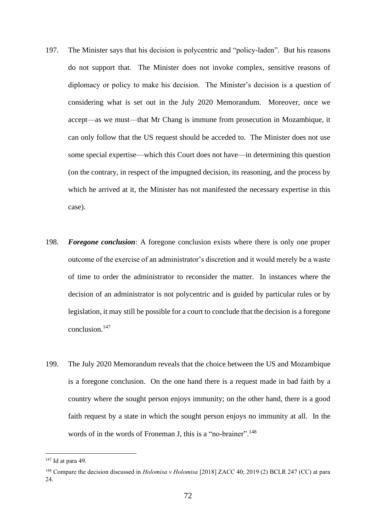- 197. The Minister says that his decision is polycentric and "policy-laden". But his reasons do not support that. The Minister does not invoke complex, sensitive reasons of diplomacy or policy to make his decision. The Minister's decision is a question of considering what is set out in the July 2020 Memorandum. Moreover, once we accept—as we must—that Mr Chang is immune from prosecution in Mozambique, it can only follow that the US request should be acceded to. The Minister does not use some special expertise—which this Court does not have—in determining this question (on the contrary, in respect of the impugned decision, its reasoning, and the process by which he arrived at it, the Minister has not manifested the necessary expertise in this case).
- 198. *Foregone conclusion*: A foregone conclusion exists where there is only one proper outcome of the exercise of an administrator's discretion and it would merely be a waste of time to order the administrator to reconsider the matter. In instances where the decision of an administrator is not polycentric and is guided by particular rules or by legislation, it may still be possible for a court to conclude that the decision is a foregone conclusion.<sup>147</sup>
- 199. The July 2020 Memorandum reveals that the choice between the US and Mozambique is a foregone conclusion. On the one hand there is a request made in bad faith by a country where the sought person enjoys immunity; on the other hand, there is a good faith request by a state in which the sought person enjoys no immunity at all. In the words of in the words of Froneman J, this is a "no-brainer".<sup>148</sup>

<sup>147</sup> Id at para 49.

<sup>&</sup>lt;sup>148</sup> Compare the decision discussed in *Holomisa v Holomisa* [2018] ZACC 40; 2019 (2) BCLR 247 (CC) at para 24.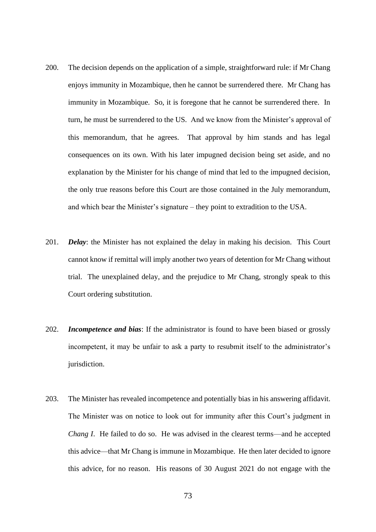- 200. The decision depends on the application of a simple, straightforward rule: if Mr Chang enjoys immunity in Mozambique, then he cannot be surrendered there. Mr Chang has immunity in Mozambique. So, it is foregone that he cannot be surrendered there. In turn, he must be surrendered to the US. And we know from the Minister's approval of this memorandum, that he agrees. That approval by him stands and has legal consequences on its own. With his later impugned decision being set aside, and no explanation by the Minister for his change of mind that led to the impugned decision, the only true reasons before this Court are those contained in the July memorandum, and which bear the Minister's signature – they point to extradition to the USA.
- 201. *Delay*: the Minister has not explained the delay in making his decision. This Court cannot know if remittal will imply another two years of detention for Mr Chang without trial. The unexplained delay, and the prejudice to Mr Chang, strongly speak to this Court ordering substitution.
- 202. *Incompetence and bias*: If the administrator is found to have been biased or grossly incompetent, it may be unfair to ask a party to resubmit itself to the administrator's jurisdiction.
- 203. The Minister has revealed incompetence and potentially bias in his answering affidavit. The Minister was on notice to look out for immunity after this Court's judgment in *Chang I*. He failed to do so. He was advised in the clearest terms—and he accepted this advice—that Mr Chang is immune in Mozambique. He then later decided to ignore this advice, for no reason. His reasons of 30 August 2021 do not engage with the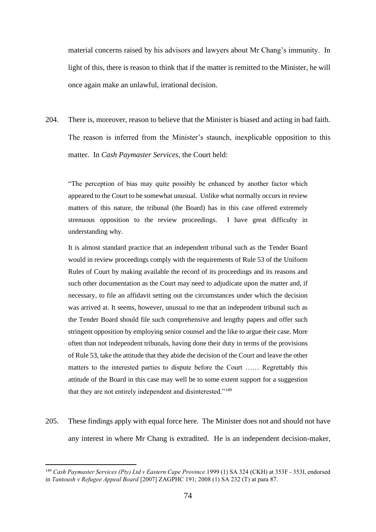material concerns raised by his advisors and lawyers about Mr Chang's immunity. In light of this, there is reason to think that if the matter is remitted to the Minister, he will once again make an unlawful, irrational decision.

204. There is, moreover, reason to believe that the Minister is biased and acting in bad faith. The reason is inferred from the Minister's staunch, inexplicable opposition to this matter. In *Cash Paymaster Services*, the Court held:

"The perception of bias may quite possibly be enhanced by another factor which appeared to the Court to be somewhat unusual. Unlike what normally occurs in review matters of this nature, the tribunal (the Board) has in this case offered extremely strenuous opposition to the review proceedings. I have great difficulty in understanding why.

It is almost standard practice that an independent tribunal such as the Tender Board would in review proceedings comply with the requirements of Rule 53 of the Uniform Rules of Court by making available the record of its proceedings and its reasons and such other documentation as the Court may need to adjudicate upon the matter and, if necessary, to file an affidavit setting out the circumstances under which the decision was arrived at. It seems, however, unusual to me that an independent tribunal such as the Tender Board should file such comprehensive and lengthy papers and offer such stringent opposition by employing senior counsel and the like to argue their case. More often than not independent tribunals, having done their duty in terms of the provisions of Rule 53, take the attitude that they abide the decision of the Court and leave the other matters to the interested parties to dispute before the Court …… Regrettably this attitude of the Board in this case may well be to some extent support for a suggestion that they are not entirely independent and disinterested."<sup>149</sup>

205. These findings apply with equal force here. The Minister does not and should not have any interest in where Mr Chang is extradited. He is an independent decision-maker,

<sup>&</sup>lt;sup>149</sup> Cash Paymaster Services (Pty) Ltd v Eastern Cape Province 1999 (1) SA 324 (CKH) at 353F - 353I, endorsed in *Tantoush v Refugee Appeal Board* [2007] ZAGPHC 191; 2008 (1) SA 232 (T) at para 87.